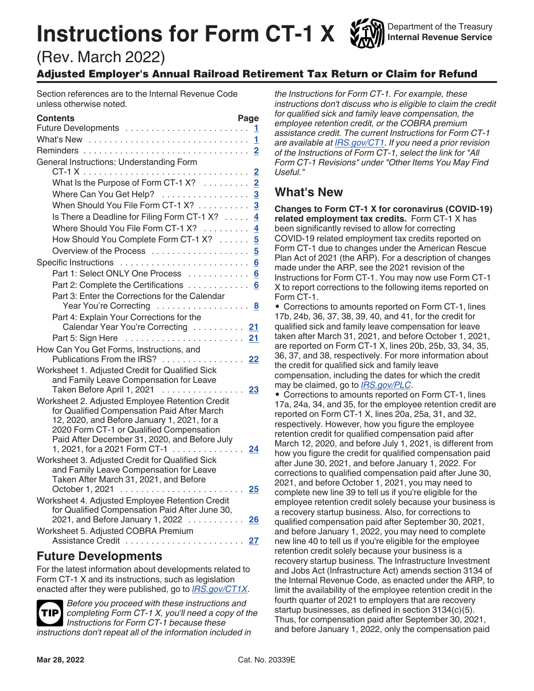# **Instructions for Form CT-1 X**

Department of the Treasury **Internal Revenue Service**

# (Rev. March 2022)

# Adjusted Employer's Annual Railroad Retirement Tax Return or Claim for Refund

Section references are to the Internal Revenue Code unless otherwise noted.

| <b>Contents</b>                                                                                                                                                                                                                            | Page<br>1.              |
|--------------------------------------------------------------------------------------------------------------------------------------------------------------------------------------------------------------------------------------------|-------------------------|
|                                                                                                                                                                                                                                            | 1                       |
|                                                                                                                                                                                                                                            | $\overline{\mathbf{2}}$ |
| General Instructions: Understanding Form                                                                                                                                                                                                   | $\overline{2}$          |
| What Is the Purpose of Form CT-1 X?                                                                                                                                                                                                        | $\overline{2}$          |
| Where Can You Get Help? 3                                                                                                                                                                                                                  |                         |
| When Should You File Form CT-1 X? 3                                                                                                                                                                                                        |                         |
| Is There a Deadline for Filing Form CT-1 X?                                                                                                                                                                                                | 4                       |
| Where Should You File Form CT-1 X?                                                                                                                                                                                                         | $\overline{\mathbf{4}}$ |
| How Should You Complete Form CT-1 X?                                                                                                                                                                                                       | $\overline{\mathbf{5}}$ |
|                                                                                                                                                                                                                                            | $\overline{5}$          |
|                                                                                                                                                                                                                                            | 6                       |
| Part 1: Select ONLY One Process                                                                                                                                                                                                            |                         |
| Part 2: Complete the Certifications                                                                                                                                                                                                        | 6<br>6                  |
| Part 3: Enter the Corrections for the Calendar                                                                                                                                                                                             |                         |
| Year You're Correcting  8                                                                                                                                                                                                                  |                         |
| Part 4: Explain Your Corrections for the                                                                                                                                                                                                   |                         |
| Calendar Year You're Correcting  21                                                                                                                                                                                                        |                         |
| Part 5: Sign Here                                                                                                                                                                                                                          | 21                      |
| How Can You Get Forms, Instructions, and<br>Publications From the IRS? 22                                                                                                                                                                  |                         |
| Worksheet 1. Adjusted Credit for Qualified Sick<br>and Family Leave Compensation for Leave<br>Taken Before April 1, 2021                                                                                                                   | 23                      |
| Worksheet 2. Adjusted Employee Retention Credit<br>for Qualified Compensation Paid After March<br>12, 2020, and Before January 1, 2021, for a<br>2020 Form CT-1 or Qualified Compensation<br>Paid After December 31, 2020, and Before July |                         |
| 1, 2021, for a 2021 Form CT-1                                                                                                                                                                                                              | 24                      |
| Worksheet 3. Adjusted Credit for Qualified Sick<br>and Family Leave Compensation for Leave<br>Taken After March 31, 2021, and Before                                                                                                       |                         |
|                                                                                                                                                                                                                                            | 25                      |
| Worksheet 4. Adjusted Employee Retention Credit<br>for Qualified Compensation Paid After June 30,<br>2021, and Before January 1, 2022                                                                                                      | 26                      |
| Worksheet 5. Adjusted COBRA Premium                                                                                                                                                                                                        |                         |
|                                                                                                                                                                                                                                            | 27                      |

# **Future Developments**

For the latest information about developments related to Form CT-1 X and its instructions, such as legislation enacted after they were published, go to *[IRS.gov/CT1X](https://www.irs.gov/ct1x)*.



*Before you proceed with these instructions and completing Form CT-1 X, you'll need a copy of the Instructions for Form CT-1 because these instructions don't repeat all of the information included in* 

*the Instructions for Form CT-1. For example, these instructions don't discuss who is eligible to claim the credit for qualified sick and family leave compensation, the employee retention credit, or the COBRA premium assistance credit. The current Instructions for Form CT-1 are available at [IRS.gov/CT1](https://www.irs.gov/ct1). If you need a prior revision of the Instructions of Form CT-1, select the link for "All Form CT-1 Revisions" under "Other Items You May Find Useful."*

# **What's New**

**Changes to Form CT-1 X for coronavirus (COVID-19) related employment tax credits.** Form CT-1 X has been significantly revised to allow for correcting COVID-19 related employment tax credits reported on Form CT-1 due to changes under the American Rescue Plan Act of 2021 (the ARP). For a description of changes made under the ARP, see the 2021 revision of the Instructions for Form CT-1. You may now use Form CT-1 X to report corrections to the following items reported on Form CT-1.

• Corrections to amounts reported on Form CT-1, lines 17b, 24b, 36, 37, 38, 39, 40, and 41, for the credit for qualified sick and family leave compensation for leave taken after March 31, 2021, and before October 1, 2021, are reported on Form CT-1 X, lines 20b, 25b, 33, 34, 35, 36, 37, and 38, respectively. For more information about the credit for qualified sick and family leave compensation, including the dates for which the credit may be claimed, go to *[IRS.gov/PLC](https://www.irs.gov/plc)*.

• Corrections to amounts reported on Form CT-1, lines 17a, 24a, 34, and 35, for the employee retention credit are reported on Form CT-1 X, lines 20a, 25a, 31, and 32, respectively. However, how you figure the employee retention credit for qualified compensation paid after March 12, 2020, and before July 1, 2021, is different from how you figure the credit for qualified compensation paid after June 30, 2021, and before January 1, 2022. For corrections to qualified compensation paid after June 30, 2021, and before October 1, 2021, you may need to complete new line 39 to tell us if you're eligible for the employee retention credit solely because your business is a recovery startup business. Also, for corrections to qualified compensation paid after September 30, 2021, and before January 1, 2022, you may need to complete new line 40 to tell us if you're eligible for the employee retention credit solely because your business is a recovery startup business. The Infrastructure Investment and Jobs Act (Infrastructure Act) amends section 3134 of the Internal Revenue Code, as enacted under the ARP, to limit the availability of the employee retention credit in the fourth quarter of 2021 to employers that are recovery startup businesses, as defined in section 3134(c)(5). Thus, for compensation paid after September 30, 2021, and before January 1, 2022, only the compensation paid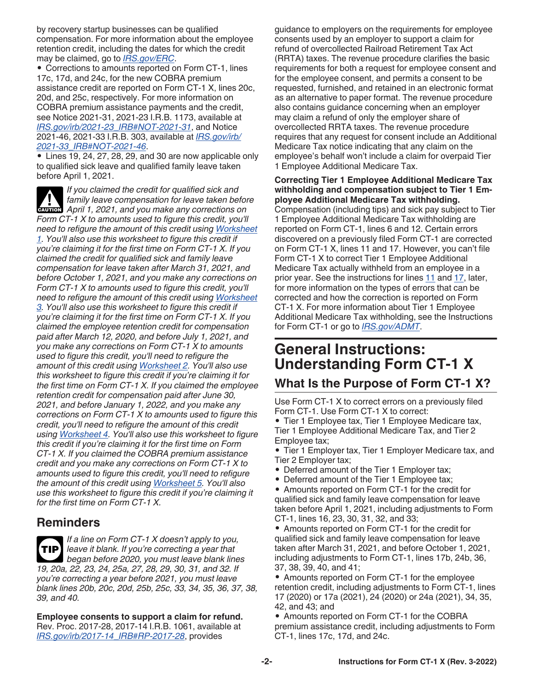<span id="page-1-0"></span>by recovery startup businesses can be qualified compensation. For more information about the employee retention credit, including the dates for which the credit may be claimed, go to *[IRS.gov/ERC](https://www.irs.gov/erc)*.

• Corrections to amounts reported on Form CT-1, lines 17c, 17d, and 24c, for the new COBRA premium assistance credit are reported on Form CT-1 X, lines 20c, 20d, and 25c, respectively. For more information on COBRA premium assistance payments and the credit, see Notice 2021-31, 2021-23 I.R.B. 1173, available at *[IRS.gov/irb/2021-23\\_IRB#NOT-2021-31](https://www.irs.gov/irb/2021-23_IRB#NOT-2021-31)*, and Notice 2021-46, 2021-33 I.R.B. 303, available at *[IRS.gov/irb/](https://www.irs.gov/irb/2021-33_IRB#NOT-2021-46) [2021-33\\_IRB#NOT-2021-46](https://www.irs.gov/irb/2021-33_IRB#NOT-2021-46)*.

• Lines 19, 24, 27, 28, 29, and 30 are now applicable only to qualified sick leave and qualified family leave taken before April 1, 2021.

*If you claimed the credit for qualified sick and family leave compensation for leave taken before*  **April 1, 2021, and you make any corrections on a few of the April 1, 2021, and you make any corrections on** *Form CT-1 X to amounts used to figure this credit, you'll need to refigure the amount of this credit using [Worksheet](#page-22-0) [1.](#page-22-0) You'll also use this worksheet to figure this credit if you're claiming it for the first time on Form CT-1 X. If you claimed the credit for qualified sick and family leave compensation for leave taken after March 31, 2021, and before October 1, 2021, and you make any corrections on Form CT-1 X to amounts used to figure this credit, you'll need to refigure the amount of this credit using [Worksheet](#page-24-0) [3.](#page-24-0) You'll also use this worksheet to figure this credit if you're claiming it for the first time on Form CT-1 X. If you claimed the employee retention credit for compensation paid after March 12, 2020, and before July 1, 2021, and you make any corrections on Form CT-1 X to amounts used to figure this credit, you'll need to refigure the amount of this credit using [Worksheet 2](#page-23-0). You'll also use this worksheet to figure this credit if you're claiming it for the first time on Form CT-1 X. If you claimed the employee retention credit for compensation paid after June 30, 2021, and before January 1, 2022, and you make any corrections on Form CT-1 X to amounts used to figure this credit, you'll need to refigure the amount of this credit using [Worksheet 4.](#page-25-0) You'll also use this worksheet to figure this credit if you're claiming it for the first time on Form CT-1 X. If you claimed the COBRA premium assistance credit and you make any corrections on Form CT-1 X to amounts used to figure this credit, you'll need to refigure the amount of this credit using [Worksheet 5.](#page-26-0) You'll also use this worksheet to figure this credit if you're claiming it for the first time on Form CT-1 X.*

# **Reminders**

*If a line on Form CT-1 X doesn't apply to you, leave it blank. If you're correcting a year that began before 2020, you must leave blank lines 19, 20a, 22, 23, 24, 25a, 27, 28, 29, 30, 31, and 32. If you're correcting a year before 2021, you must leave blank lines 20b, 20c, 20d, 25b, 25c, 33, 34, 35, 36, 37, 38, 39, and 40.* **TIP**

**Employee consents to support a claim for refund.**  Rev. Proc. 2017-28, 2017-14 I.R.B. 1061, available at *[IRS.gov/irb/2017-14\\_IRB#RP-2017-28](https://www.irs.gov/irb/2017-14_IRB#RP-2017-28)*, provides

guidance to employers on the requirements for employee consents used by an employer to support a claim for refund of overcollected Railroad Retirement Tax Act (RRTA) taxes. The revenue procedure clarifies the basic requirements for both a request for employee consent and for the employee consent, and permits a consent to be requested, furnished, and retained in an electronic format as an alternative to paper format. The revenue procedure also contains guidance concerning when an employer may claim a refund of only the employer share of overcollected RRTA taxes. The revenue procedure requires that any request for consent include an Additional Medicare Tax notice indicating that any claim on the employee's behalf won't include a claim for overpaid Tier 1 Employee Additional Medicare Tax.

# **Correcting Tier 1 Employee Additional Medicare Tax withholding and compensation subject to Tier 1 Employee Additional Medicare Tax withholding.**

Compensation (including tips) and sick pay subject to Tier 1 Employee Additional Medicare Tax withholding are reported on Form CT-1, lines 6 and 12. Certain errors discovered on a previously filed Form CT-1 are corrected on Form CT-1 X, lines 11 and 17. However, you can't file Form CT-1 X to correct Tier 1 Employee Additional Medicare Tax actually withheld from an employee in a prior year. See the instructions for lines [11](#page-9-0) and [17,](#page-12-0) later, for more information on the types of errors that can be corrected and how the correction is reported on Form CT-1 X. For more information about Tier 1 Employee Additional Medicare Tax withholding, see the Instructions for Form CT-1 or go to *[IRS.gov/ADMT](https://www.irs.gov/admt)*.

# **General Instructions: Understanding Form CT-1 X**

# **What Is the Purpose of Form CT-1 X?**

Use Form CT-1 X to correct errors on a previously filed Form CT-1. Use Form CT-1 X to correct:

• Tier 1 Employee tax, Tier 1 Employee Medicare tax, Tier 1 Employee Additional Medicare Tax, and Tier 2 Employee tax;

• Tier 1 Employer tax, Tier 1 Employer Medicare tax, and Tier 2 Employer tax;

- Deferred amount of the Tier 1 Employer tax;
- Deferred amount of the Tier 1 Employee tax;
- Amounts reported on Form CT-1 for the credit for qualified sick and family leave compensation for leave taken before April 1, 2021, including adjustments to Form CT-1, lines 16, 23, 30, 31, 32, and 33;

• Amounts reported on Form CT-1 for the credit for qualified sick and family leave compensation for leave taken after March 31, 2021, and before October 1, 2021, including adjustments to Form CT-1, lines 17b, 24b, 36, 37, 38, 39, 40, and 41;

• Amounts reported on Form CT-1 for the employee retention credit, including adjustments to Form CT-1, lines 17 (2020) or 17a (2021), 24 (2020) or 24a (2021), 34, 35, 42, and 43; and

• Amounts reported on Form CT-1 for the COBRA premium assistance credit, including adjustments to Form CT-1, lines 17c, 17d, and 24c.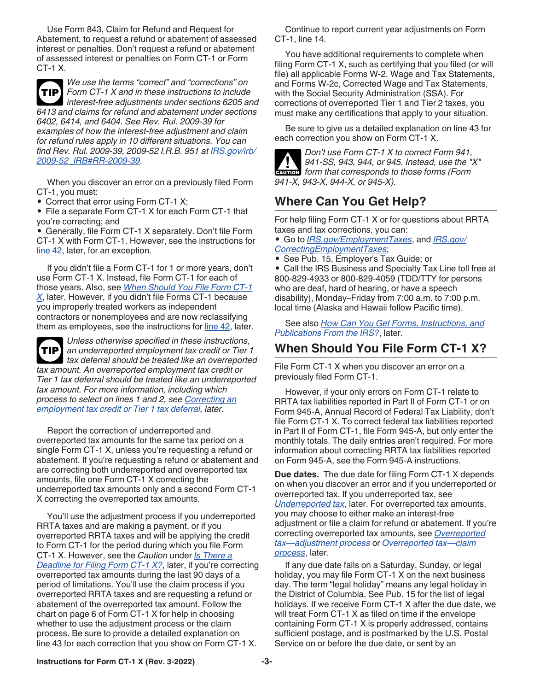<span id="page-2-0"></span>Use Form 843, Claim for Refund and Request for Abatement, to request a refund or abatement of assessed interest or penalties. Don't request a refund or abatement of assessed interest or penalties on Form CT-1 or Form CT-1 X.



*We use the terms "correct" and "corrections" on Form CT-1 X and in these instructions to include interest-free adjustments under sections 6205 and 6413 and claims for refund and abatement under sections* 

*6402, 6414, and 6404. See Rev. Rul. 2009-39 for examples of how the interest-free adjustment and claim for refund rules apply in 10 different situations. You can find Rev. Rul. 2009-39, 2009-52 I.R.B. 951 at [IRS.gov/irb/](https://www.irs.gov/irb/2009-52_IRB#RR-2009-39) [2009-52\\_IRB#RR-2009-39.](https://www.irs.gov/irb/2009-52_IRB#RR-2009-39)*

When you discover an error on a previously filed Form CT-1, you must:

• Correct that error using Form CT-1 X;

• File a separate Form CT-1 X for each Form CT-1 that you're correcting; and

• Generally, file Form CT-1 X separately. Don't file Form CT-1 X with Form CT-1. However, see the instructions for [line 42](#page-20-0), later, for an exception.

If you didn't file a Form CT-1 for 1 or more years, don't use Form CT-1 X. Instead, file Form CT-1 for each of those years. Also, see *When Should You File Form CT-1 X*, later. However, if you didn't file Forms CT-1 because you improperly treated workers as independent contractors or nonemployees and are now reclassifying them as employees, see the instructions for [line 42,](#page-20-0) later.

*Unless otherwise specified in these instructions, an underreported employment tax credit or Tier 1 tax deferral should be treated like an overreported tax amount. An overreported employment tax credit or Tier 1 tax deferral should be treated like an underreported tax amount. For more information, including which process to select on lines 1 and 2, see [Correcting an](#page-5-0) [employment tax credit or Tier 1 tax deferral,](#page-5-0) later.* **TIP**

Report the correction of underreported and overreported tax amounts for the same tax period on a single Form CT-1 X, unless you're requesting a refund or abatement. If you're requesting a refund or abatement and are correcting both underreported and overreported tax amounts, file one Form CT-1 X correcting the underreported tax amounts only and a second Form CT-1 X correcting the overreported tax amounts.

You'll use the adjustment process if you underreported RRTA taxes and are making a payment, or if you overreported RRTA taxes and will be applying the credit to Form CT-1 for the period during which you file Form CT-1 X. However, see the *Caution* under *[Is There a](#page-3-0) [Deadline for Filing Form CT-1 X?](#page-3-0)*, later, if you're correcting overreported tax amounts during the last 90 days of a period of limitations. You'll use the claim process if you overreported RRTA taxes and are requesting a refund or abatement of the overreported tax amount. Follow the chart on page 6 of Form CT-1 X for help in choosing whether to use the adjustment process or the claim process. Be sure to provide a detailed explanation on line 43 for each correction that you show on Form CT-1 X.

Continue to report current year adjustments on Form CT-1, line 14.

You have additional requirements to complete when filing Form CT-1 X, such as certifying that you filed (or will file) all applicable Forms W-2, Wage and Tax Statements, and Forms W-2c, Corrected Wage and Tax Statements, with the Social Security Administration (SSA). For corrections of overreported Tier 1 and Tier 2 taxes, you must make any certifications that apply to your situation.

Be sure to give us a detailed explanation on line 43 for each correction you show on Form CT-1 X.



*Don't use Form CT-1 X to correct Form 941, 941-SS, 943, 944, or 945. Instead, use the "X"*  941-SS, 943, 944, or 945. Instead, use the " *941-X, 943-X, 944-X, or 945-X).*

# **Where Can You Get Help?**

For help filing Form CT-1 X or for questions about RRTA taxes and tax corrections, you can:

• Go to *[IRS.gov/EmploymentTaxes](https://www.irs.gov/employmenttaxes)*, and *[IRS.gov/](https://www.irs.gov/correctingemploymenttaxes) [CorrectingEmploymentTaxes](https://www.irs.gov/correctingemploymenttaxes)*;

• See Pub. 15, Employer's Tax Guide; or

• Call the IRS Business and Specialty Tax Line toll free at 800-829-4933 or 800-829-4059 (TDD/TTY for persons who are deaf, hard of hearing, or have a speech disability), Monday–Friday from 7:00 a.m. to 7:00 p.m. local time (Alaska and Hawaii follow Pacific time).

See also *[How Can You Get Forms, Instructions, and](#page-21-0)  [Publications From the IRS?](#page-21-0)*, later.

# **When Should You File Form CT-1 X?**

File Form CT-1 X when you discover an error on a previously filed Form CT-1.

However, if your only errors on Form CT-1 relate to RRTA tax liabilities reported in Part II of Form CT-1 or on Form 945-A, Annual Record of Federal Tax Liability, don't file Form CT-1 X. To correct federal tax liabilities reported in Part II of Form CT-1, file Form 945-A, but only enter the monthly totals. The daily entries aren't required. For more information about correcting RRTA tax liabilities reported on Form 945-A, see the Form 945-A instructions.

**Due dates.** The due date for filing Form CT-1 X depends on when you discover an error and if you underreported or overreported tax. If you underreported tax, see *[Underreported tax](#page-3-0)*, later. For overreported tax amounts, you may choose to either make an interest-free adjustment or file a claim for refund or abatement. If you're correcting overreported tax amounts, see *[Overreported](#page-3-0)  [tax—adjustment process](#page-3-0)* or *[Overreported tax—claim](#page-3-0) [process](#page-3-0)*, later.

If any due date falls on a Saturday, Sunday, or legal holiday, you may file Form CT-1 X on the next business day. The term "legal holiday" means any legal holiday in the District of Columbia. See Pub. 15 for the list of legal holidays. If we receive Form CT-1 X after the due date, we will treat Form CT-1 X as filed on time if the envelope containing Form CT-1 X is properly addressed, contains sufficient postage, and is postmarked by the U.S. Postal Service on or before the due date, or sent by an

**Instructions for Form CT-1 X (Rev. 3-2022) -3-**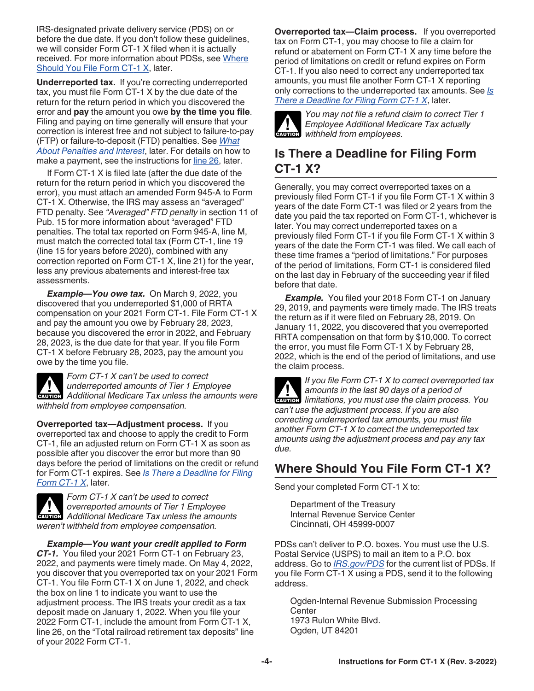<span id="page-3-0"></span>IRS-designated private delivery service (PDS) on or before the due date. If you don't follow these guidelines, we will consider Form CT-1 X filed when it is actually received. For more information about PDSs, see Where Should You File Form CT-1 X, later.

**Underreported tax.** If you're correcting underreported tax, you must file Form CT-1 X by the due date of the return for the return period in which you discovered the error and **pay** the amount you owe **by the time you file**. Filing and paying on time generally will ensure that your correction is interest free and not subject to failure-to-pay (FTP) or failure-to-deposit (FTD) penalties. See *[What](#page-4-0)  [About Penalties and Interest](#page-4-0)*, later. For details on how to make a payment, see the instructions for [line 26,](#page-17-0) later.

If Form CT-1 X is filed late (after the due date of the return for the return period in which you discovered the error), you must attach an amended Form 945-A to Form CT-1 X. Otherwise, the IRS may assess an "averaged" FTD penalty. See *"Averaged" FTD penalty* in section 11 of Pub. 15 for more information about "averaged" FTD penalties. The total tax reported on Form 945-A, line M, must match the corrected total tax (Form CT-1, line 19 (line 15 for years before 2020), combined with any correction reported on Form CT-1 X, line 21) for the year, less any previous abatements and interest-free tax assessments.

*Example—You owe tax.* On March 9, 2022, you discovered that you underreported \$1,000 of RRTA compensation on your 2021 Form CT-1. File Form CT-1 X and pay the amount you owe by February 28, 2023, because you discovered the error in 2022, and February 28, 2023, is the due date for that year. If you file Form CT-1 X before February 28, 2023, pay the amount you owe by the time you file.

*Form CT-1 X can't be used to correct underreported amounts of Tier 1 Employee*  **Additional Medicare Tax unless the amounts were**  $\overline{P}$ *withheld from employee compensation.*

**Overreported tax—Adjustment process.** If you overreported tax and choose to apply the credit to Form CT-1, file an adjusted return on Form CT-1 X as soon as possible after you discover the error but more than 90 days before the period of limitations on the credit or refund for Form CT-1 expires. See *Is There a Deadline for Filing Form CT-1 X*, later.



*Form CT-1 X can't be used to correct overreported amounts of Tier 1 Employee*  **Additional Medicare Tax unless the amounts of Tier 1 Employee Additional Medicare Tax unless the amounts** *weren't withheld from employee compensation.*

*Example—You want your credit applied to Form CT-1.* You filed your 2021 Form CT-1 on February 23, 2022, and payments were timely made. On May 4, 2022, you discover that you overreported tax on your 2021 Form CT-1. You file Form CT-1 X on June 1, 2022, and check the box on line 1 to indicate you want to use the adjustment process. The IRS treats your credit as a tax deposit made on January 1, 2022. When you file your 2022 Form CT-1, include the amount from Form CT-1 X, line 26, on the "Total railroad retirement tax deposits" line of your 2022 Form CT-1.

**Overreported tax—Claim process.** If you overreported tax on Form CT-1, you may choose to file a claim for refund or abatement on Form CT-1 X any time before the period of limitations on credit or refund expires on Form CT-1. If you also need to correct any underreported tax amounts, you must file another Form CT-1 X reporting only corrections to the underreported tax amounts. See *Is There a Deadline for Filing Form CT-1 X*, later.



*You may not file a refund claim to correct Tier 1 Employee Additional Medicare Tax actually*  **CAUTION** Employee Additional Med

# **Is There a Deadline for Filing Form CT-1 X?**

Generally, you may correct overreported taxes on a previously filed Form CT-1 if you file Form CT-1 X within 3 years of the date Form CT-1 was filed or 2 years from the date you paid the tax reported on Form CT-1, whichever is later. You may correct underreported taxes on a previously filed Form CT-1 if you file Form CT-1 X within 3 years of the date the Form CT-1 was filed. We call each of these time frames a "period of limitations." For purposes of the period of limitations, Form CT-1 is considered filed on the last day in February of the succeeding year if filed before that date.

**Example.** You filed your 2018 Form CT-1 on January 29, 2019, and payments were timely made. The IRS treats the return as if it were filed on February 28, 2019. On January 11, 2022, you discovered that you overreported RRTA compensation on that form by \$10,000. To correct the error, you must file Form CT-1 X by February 28, 2022, which is the end of the period of limitations, and use the claim process.

*If you file Form CT-1 X to correct overreported tax amounts in the last 90 days of a period of*  **limitations, you must use the claim process. You** *always* of a period of *can't use the adjustment process. If you are also correcting underreported tax amounts, you must file another Form CT-1 X to correct the underreported tax amounts using the adjustment process and pay any tax due.*

# **Where Should You File Form CT-1 X?**

Send your completed Form CT-1 X to:

Department of the Treasury Internal Revenue Service Center Cincinnati, OH 45999-0007

PDSs can't deliver to P.O. boxes. You must use the U.S. Postal Service (USPS) to mail an item to a P.O. box address. Go to *[IRS.gov/PDS](https://www.irs.gov/pds)* for the current list of PDSs. If you file Form CT-1 X using a PDS, send it to the following address.

Ogden-Internal Revenue Submission Processing **Center** 1973 Rulon White Blvd. Ogden, UT 84201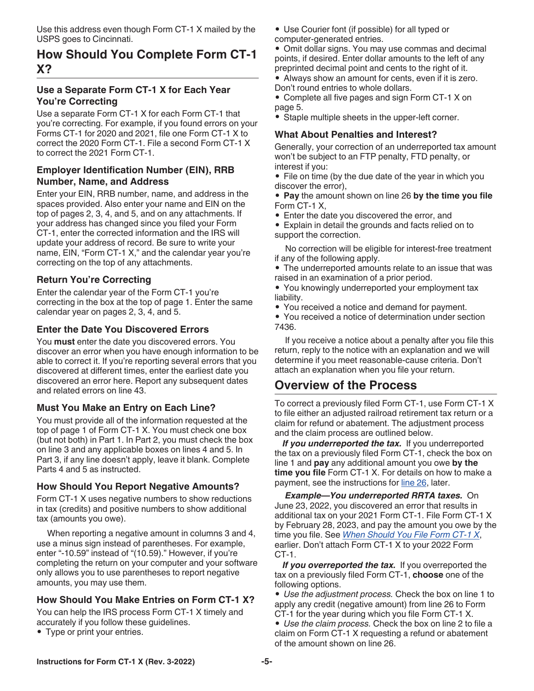<span id="page-4-0"></span>Use this address even though Form CT-1 X mailed by the USPS goes to Cincinnati.

# **How Should You Complete Form CT-1 X?**

### **Use a Separate Form CT-1 X for Each Year You're Correcting**

Use a separate Form CT-1 X for each Form CT-1 that you're correcting. For example, if you found errors on your Forms CT-1 for 2020 and 2021, file one Form CT-1 X to correct the 2020 Form CT-1. File a second Form CT-1 X to correct the 2021 Form CT-1

#### **Employer Identification Number (EIN), RRB Number, Name, and Address**

Enter your EIN, RRB number, name, and address in the spaces provided. Also enter your name and EIN on the top of pages 2, 3, 4, and 5, and on any attachments. If your address has changed since you filed your Form CT-1, enter the corrected information and the IRS will update your address of record. Be sure to write your name, EIN, "Form CT-1 X," and the calendar year you're correcting on the top of any attachments.

# **Return You're Correcting**

Enter the calendar year of the Form CT-1 you're correcting in the box at the top of page 1. Enter the same calendar year on pages 2, 3, 4, and 5.

### **Enter the Date You Discovered Errors**

You **must** enter the date you discovered errors. You discover an error when you have enough information to be able to correct it. If you're reporting several errors that you discovered at different times, enter the earliest date you discovered an error here. Report any subsequent dates and related errors on line 43.

#### **Must You Make an Entry on Each Line?**

You must provide all of the information requested at the top of page 1 of Form CT-1 X. You must check one box (but not both) in Part 1. In Part 2, you must check the box on line 3 and any applicable boxes on lines 4 and 5. In Part 3, if any line doesn't apply, leave it blank. Complete Parts 4 and 5 as instructed.

#### **How Should You Report Negative Amounts?**

Form CT-1 X uses negative numbers to show reductions in tax (credits) and positive numbers to show additional tax (amounts you owe).

When reporting a negative amount in columns 3 and 4, use a minus sign instead of parentheses. For example, enter "-10.59" instead of "(10.59)." However, if you're completing the return on your computer and your software only allows you to use parentheses to report negative amounts, you may use them.

# **How Should You Make Entries on Form CT-1 X?**

You can help the IRS process Form CT-1 X timely and accurately if you follow these guidelines.

• Type or print your entries.

- Use Courier font (if possible) for all typed or
- computer-generated entries.

• Omit dollar signs. You may use commas and decimal points, if desired. Enter dollar amounts to the left of any preprinted decimal point and cents to the right of it.

• Always show an amount for cents, even if it is zero. Don't round entries to whole dollars.

• Complete all five pages and sign Form CT-1 X on page 5.

• Staple multiple sheets in the upper-left corner.

#### **What About Penalties and Interest?**

Generally, your correction of an underreported tax amount won't be subject to an FTP penalty, FTD penalty, or interest if you:

• File on time (by the due date of the year in which you discover the error),

• **Pay** the amount shown on line 26 **by the time you file**  Form CT-1 X,

• Enter the date you discovered the error, and

• Explain in detail the grounds and facts relied on to support the correction.

No correction will be eligible for interest-free treatment if any of the following apply.

• The underreported amounts relate to an issue that was raised in an examination of a prior period.

• You knowingly underreported your employment tax liability.

• You received a notice and demand for payment.

• You received a notice of determination under section 7436.

If you receive a notice about a penalty after you file this return, reply to the notice with an explanation and we will determine if you meet reasonable-cause criteria. Don't attach an explanation when you file your return.

# **Overview of the Process**

To correct a previously filed Form CT-1, use Form CT-1 X to file either an adjusted railroad retirement tax return or a claim for refund or abatement. The adjustment process and the claim process are outlined below.

If you underreported the tax. If you underreported the tax on a previously filed Form CT-1, check the box on line 1 and **pay** any additional amount you owe **by the time you file** Form CT-1 X. For details on how to make a payment, see the instructions for [line 26](#page-17-0), later.

*Example—You underreported RRTA taxes.* On June 23, 2022, you discovered an error that results in additional tax on your 2021 Form CT-1. File Form CT-1 X by February 28, 2023, and pay the amount you owe by the time you file. See *[When Should You File Form CT-1 X](#page-2-0)*, earlier. Don't attach Form CT-1 X to your 2022 Form CT-1.

*If you overreported the tax.* If you overreported the tax on a previously filed Form CT-1, **choose** one of the following options.

• *Use the adjustment process.* Check the box on line 1 to apply any credit (negative amount) from line 26 to Form CT-1 for the year during which you file Form CT-1 X.

• *Use the claim process.* Check the box on line 2 to file a claim on Form CT-1 X requesting a refund or abatement of the amount shown on line 26.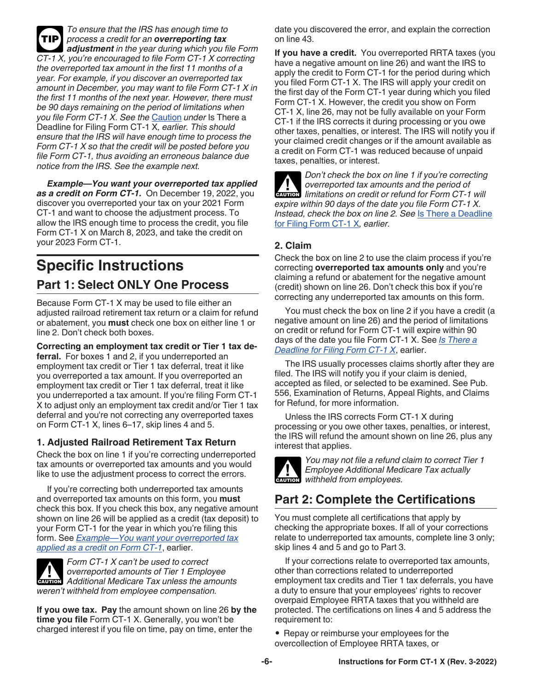<span id="page-5-0"></span>*To ensure that the IRS has enough time to process a credit for an overreporting tax adjustment in the year during which you file Form CT-1 X, you're encouraged to file Form CT-1 X correcting the overreported tax amount in the first 11 months of a year. For example, if you discover an overreported tax amount in December, you may want to file Form CT-1 X in the first 11 months of the next year. However, there must be 90 days remaining on the period of limitations when you file Form CT-1 X. See the* [Caution](#page-3-0) *under* Is There a Deadline for Filing Form CT-1 X*, earlier. This should ensure that the IRS will have enough time to process the Form CT-1 X so that the credit will be posted before you file Form CT-1, thus avoiding an erroneous balance due notice from the IRS. See the example next.* **TIP**

*Example—You want your overreported tax applied as a credit on Form CT-1.* On December 19, 2022, you discover you overreported your tax on your 2021 Form CT-1 and want to choose the adjustment process. To allow the IRS enough time to process the credit, you file Form CT-1 X on March 8, 2023, and take the credit on your 2023 Form CT-1.

# **Specific Instructions Part 1: Select ONLY One Process**

Because Form CT-1 X may be used to file either an adjusted railroad retirement tax return or a claim for refund or abatement, you **must** check one box on either line 1 or line 2. Don't check both boxes.

**Correcting an employment tax credit or Tier 1 tax deferral.** For boxes 1 and 2, if you underreported an employment tax credit or Tier 1 tax deferral, treat it like you overreported a tax amount. If you overreported an employment tax credit or Tier 1 tax deferral, treat it like you underreported a tax amount. If you're filing Form CT-1 X to adjust only an employment tax credit and/or Tier 1 tax deferral and you're not correcting any overreported taxes on Form CT-1 X, lines 6–17, skip lines 4 and 5.

# **1. Adjusted Railroad Retirement Tax Return**

Check the box on line 1 if you're correcting underreported tax amounts or overreported tax amounts and you would like to use the adjustment process to correct the errors.

If you're correcting both underreported tax amounts and overreported tax amounts on this form, you **must**  check this box. If you check this box, any negative amount shown on line 26 will be applied as a credit (tax deposit) to your Form CT-1 for the year in which you're filing this form. See *Example—You want your overreported tax applied as a credit on Form CT-1*, earlier.



*Form CT-1 X can't be used to correct overreported amounts of Tier 1 Employee*  **Properties Additional Medicare Tax unless the amounts of Tier 1 Employee** *weren't withheld from employee compensation.*

**If you owe tax. Pay** the amount shown on line 26 **by the time you file** Form CT-1 X. Generally, you won't be charged interest if you file on time, pay on time, enter the

date you discovered the error, and explain the correction on line 43.

**If you have a credit.** You overreported RRTA taxes (you have a negative amount on line 26) and want the IRS to apply the credit to Form CT-1 for the period during which you filed Form CT-1 X. The IRS will apply your credit on the first day of the Form CT-1 year during which you filed Form CT-1 X. However, the credit you show on Form CT-1 X, line 26, may not be fully available on your Form CT-1 if the IRS corrects it during processing or you owe other taxes, penalties, or interest. The IRS will notify you if your claimed credit changes or if the amount available as a credit on Form CT-1 was reduced because of unpaid taxes, penalties, or interest.

*Don't check the box on line 1 if you're correcting overreported tax amounts and the period of*  **limitations on credit or refund for Form CT-1 will all the period of** *expire within 90 days of the date you file Form CT-1 X. Instead, check the box on line 2. See* [Is There a Deadline](#page-3-0)  [for Filing Form CT-1 X](#page-3-0)*, earlier.*

# **2. Claim**

Check the box on line 2 to use the claim process if you're correcting **overreported tax amounts only** and you're claiming a refund or abatement for the negative amount (credit) shown on line 26. Don't check this box if you're correcting any underreported tax amounts on this form.

You must check the box on line 2 if you have a credit (a negative amount on line 26) and the period of limitations on credit or refund for Form CT-1 will expire within 90 days of the date you file Form CT-1 X. See *[Is There a](#page-3-0) [Deadline for Filing Form CT-1 X](#page-3-0)*, earlier.

The IRS usually processes claims shortly after they are filed. The IRS will notify you if your claim is denied, accepted as filed, or selected to be examined. See Pub. 556, Examination of Returns, Appeal Rights, and Claims for Refund, for more information.

Unless the IRS corrects Form CT-1 X during processing or you owe other taxes, penalties, or interest, the IRS will refund the amount shown on line 26, plus any interest that applies.



*You may not file a refund claim to correct Tier 1 Employee Additional Medicare Tax actually*  **CAUTION** Employee Additional Med

# **Part 2: Complete the Certifications**

You must complete all certifications that apply by checking the appropriate boxes. If all of your corrections relate to underreported tax amounts, complete line 3 only; skip lines 4 and 5 and go to Part 3.

If your corrections relate to overreported tax amounts, other than corrections related to underreported employment tax credits and Tier 1 tax deferrals, you have a duty to ensure that your employees' rights to recover overpaid Employee RRTA taxes that you withheld are protected. The certifications on lines 4 and 5 address the requirement to:

• Repay or reimburse your employees for the overcollection of Employee RRTA taxes, or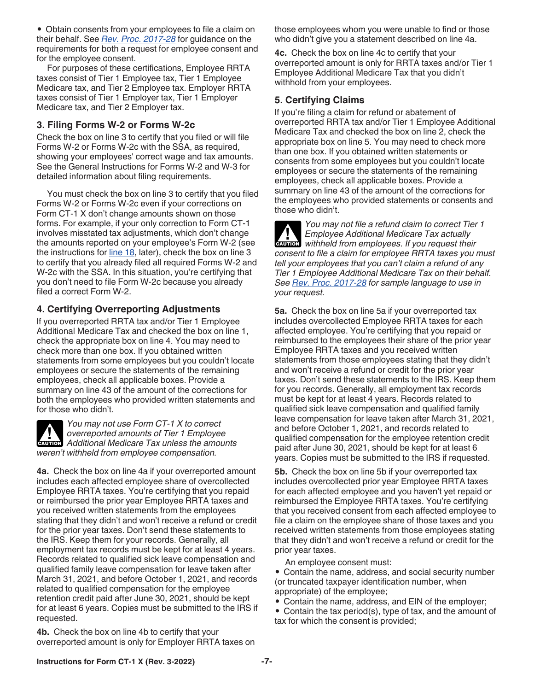• Obtain consents from your employees to file a claim on their behalf. See *[Rev. Proc. 2017-28](https://www.irs.gov/irb/2017-14_IRB#RP-2017-28)* for guidance on the requirements for both a request for employee consent and for the employee consent.

For purposes of these certifications, Employee RRTA taxes consist of Tier 1 Employee tax, Tier 1 Employee Medicare tax, and Tier 2 Employee tax. Employer RRTA taxes consist of Tier 1 Employer tax, Tier 1 Employer Medicare tax, and Tier 2 Employer tax.

### **3. Filing Forms W-2 or Forms W-2c**

Check the box on line 3 to certify that you filed or will file Forms W-2 or Forms W-2c with the SSA, as required, showing your employees' correct wage and tax amounts. See the General Instructions for Forms W-2 and W-3 for detailed information about filing requirements.

You must check the box on line 3 to certify that you filed Forms W-2 or Forms W-2c even if your corrections on Form CT-1 X don't change amounts shown on those forms. For example, if your only correction to Form CT-1 involves misstated tax adjustments, which don't change the amounts reported on your employee's Form W-2 (see the instructions for [line 18](#page-12-0), later), check the box on line 3 to certify that you already filed all required Forms W-2 and W-2c with the SSA. In this situation, you're certifying that you don't need to file Form W-2c because you already filed a correct Form W-2.

# **4. Certifying Overreporting Adjustments**

If you overreported RRTA tax and/or Tier 1 Employee Additional Medicare Tax and checked the box on line 1, check the appropriate box on line 4. You may need to check more than one box. If you obtained written statements from some employees but you couldn't locate employees or secure the statements of the remaining employees, check all applicable boxes. Provide a summary on line 43 of the amount of the corrections for both the employees who provided written statements and for those who didn't.

*You may not use Form CT-1 X to correct overreported amounts of Tier 1 Employee Additional Medicare Tax unless the amounts weren't withheld from employee compensation.*

**4a.** Check the box on line 4a if your overreported amount includes each affected employee share of overcollected Employee RRTA taxes. You're certifying that you repaid or reimbursed the prior year Employee RRTA taxes and you received written statements from the employees stating that they didn't and won't receive a refund or credit for the prior year taxes. Don't send these statements to the IRS. Keep them for your records. Generally, all employment tax records must be kept for at least 4 years. Records related to qualified sick leave compensation and qualified family leave compensation for leave taken after March 31, 2021, and before October 1, 2021, and records related to qualified compensation for the employee retention credit paid after June 30, 2021, should be kept for at least 6 years. Copies must be submitted to the IRS if requested.

**4b.** Check the box on line 4b to certify that your overreported amount is only for Employer RRTA taxes on those employees whom you were unable to find or those who didn't give you a statement described on line 4a.

**4c.** Check the box on line 4c to certify that your overreported amount is only for RRTA taxes and/or Tier 1 Employee Additional Medicare Tax that you didn't withhold from your employees.

### **5. Certifying Claims**

If you're filing a claim for refund or abatement of overreported RRTA tax and/or Tier 1 Employee Additional Medicare Tax and checked the box on line 2, check the appropriate box on line 5. You may need to check more than one box. If you obtained written statements or consents from some employees but you couldn't locate employees or secure the statements of the remaining employees, check all applicable boxes. Provide a summary on line 43 of the amount of the corrections for the employees who provided statements or consents and those who didn't.

*You may not file a refund claim to correct Tier 1 Employee Additional Medicare Tax actually*  **Employee Additional Medicare Tax actually**<br> **CAUTION** Withheld from employees. If you request their *consent to file a claim for employee RRTA taxes you must tell your employees that you can't claim a refund of any Tier 1 Employee Additional Medicare Tax on their behalf. See [Rev. Proc. 2017-28](https://www.irs.gov/irb/2017-14_IRB#RP-2017-28) for sample language to use in your request.*

**5a.** Check the box on line 5a if your overreported tax includes overcollected Employee RRTA taxes for each affected employee. You're certifying that you repaid or reimbursed to the employees their share of the prior year Employee RRTA taxes and you received written statements from those employees stating that they didn't and won't receive a refund or credit for the prior year taxes. Don't send these statements to the IRS. Keep them for you records. Generally, all employment tax records must be kept for at least 4 years. Records related to qualified sick leave compensation and qualified family leave compensation for leave taken after March 31, 2021, and before October 1, 2021, and records related to qualified compensation for the employee retention credit paid after June 30, 2021, should be kept for at least 6 years. Copies must be submitted to the IRS if requested.

**5b.** Check the box on line 5b if your overreported tax includes overcollected prior year Employee RRTA taxes for each affected employee and you haven't yet repaid or reimbursed the Employee RRTA taxes. You're certifying that you received consent from each affected employee to file a claim on the employee share of those taxes and you received written statements from those employees stating that they didn't and won't receive a refund or credit for the prior year taxes.

An employee consent must:

• Contain the name, address, and social security number (or truncated taxpayer identification number, when appropriate) of the employee;

- Contain the name, address, and EIN of the employer;
- Contain the tax period(s), type of tax, and the amount of tax for which the consent is provided;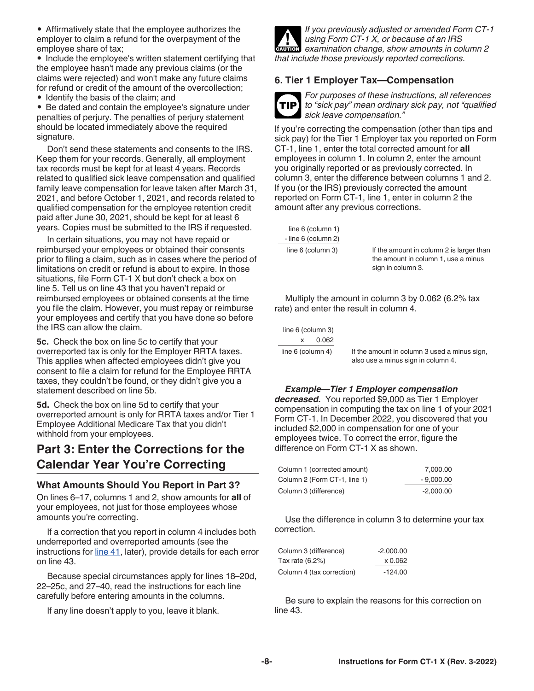<span id="page-7-0"></span>• Affirmatively state that the employee authorizes the employer to claim a refund for the overpayment of the employee share of tax;

• Include the employee's written statement certifying that the employee hasn't made any previous claims (or the claims were rejected) and won't make any future claims for refund or credit of the amount of the overcollection;

• Identify the basis of the claim; and

• Be dated and contain the employee's signature under penalties of perjury. The penalties of perjury statement should be located immediately above the required signature.

Don't send these statements and consents to the IRS. Keep them for your records. Generally, all employment tax records must be kept for at least 4 years. Records related to qualified sick leave compensation and qualified family leave compensation for leave taken after March 31, 2021, and before October 1, 2021, and records related to qualified compensation for the employee retention credit paid after June 30, 2021, should be kept for at least 6 years. Copies must be submitted to the IRS if requested.

In certain situations, you may not have repaid or reimbursed your employees or obtained their consents prior to filing a claim, such as in cases where the period of limitations on credit or refund is about to expire. In those situations, file Form CT-1 X but don't check a box on line 5. Tell us on line 43 that you haven't repaid or reimbursed employees or obtained consents at the time you file the claim. However, you must repay or reimburse your employees and certify that you have done so before the IRS can allow the claim.

**5c.** Check the box on line 5c to certify that your overreported tax is only for the Employer RRTA taxes. This applies when affected employees didn't give you consent to file a claim for refund for the Employee RRTA taxes, they couldn't be found, or they didn't give you a statement described on line 5b.

**5d.** Check the box on line 5d to certify that your overreported amount is only for RRTA taxes and/or Tier 1 Employee Additional Medicare Tax that you didn't withhold from your employees.

# **Part 3: Enter the Corrections for the Calendar Year You're Correcting**

#### **What Amounts Should You Report in Part 3?**

On lines 6–17, columns 1 and 2, show amounts for **all** of your employees, not just for those employees whose amounts you're correcting.

If a correction that you report in column 4 includes both underreported and overreported amounts (see the instructions for [line 41,](#page-20-0) later), provide details for each error on line 43.

Because special circumstances apply for lines 18–20d, 22–25c, and 27–40, read the instructions for each line carefully before entering amounts in the columns.

If any line doesn't apply to you, leave it blank.



*If you previously adjusted or amended Form CT-1 using Form CT-1 X, or because of an IRS*  **CAUTION** *examination change, show amounts in column 2 that include those previously reported corrections.*

#### **6. Tier 1 Employer Tax—Compensation**



*For purposes of these instructions, all references to "sick pay" mean ordinary sick pay, not "qualified sick leave compensation."*

If you're correcting the compensation (other than tips and sick pay) for the Tier 1 Employer tax you reported on Form CT-1, line 1, enter the total corrected amount for **all**  employees in column 1. In column 2, enter the amount you originally reported or as previously corrected. In column 3, enter the difference between columns 1 and 2. If you (or the IRS) previously corrected the amount reported on Form CT-1, line 1, enter in column 2 the amount after any previous corrections.

 line 6 (column 1) - line 6 (column 2)

line 6 (column 3) If the amount in column 2 is larger than the amount in column 1, use a minus sign in column 3.

Multiply the amount in column 3 by 0.062 (6.2% tax rate) and enter the result in column 4.

| line 6 (column 3)   |                                                                                    |
|---------------------|------------------------------------------------------------------------------------|
| 0.062<br>x          |                                                                                    |
| line $6$ (column 4) | If the amount in column 3 used a minus sign,<br>also use a minus sign in column 4. |

#### *Example—Tier 1 Employer compensation*

*decreased.* You reported \$9,000 as Tier 1 Employer compensation in computing the tax on line 1 of your 2021 Form CT-1. In December 2022, you discovered that you included \$2,000 in compensation for one of your employees twice. To correct the error, figure the difference on Form CT-1 X as shown.

| Column 1 (corrected amount)  | 7,000.00    |
|------------------------------|-------------|
| Column 2 (Form CT-1, line 1) | $-9,000.00$ |
| Column 3 (difference)        | $-2,000.00$ |

Use the difference in column 3 to determine your tax correction.

| Column 3 (difference)     | $-2.000.00$ |
|---------------------------|-------------|
| Tax rate (6.2%)           | x 0.062     |
| Column 4 (tax correction) | $-124.00$   |

Be sure to explain the reasons for this correction on line 43.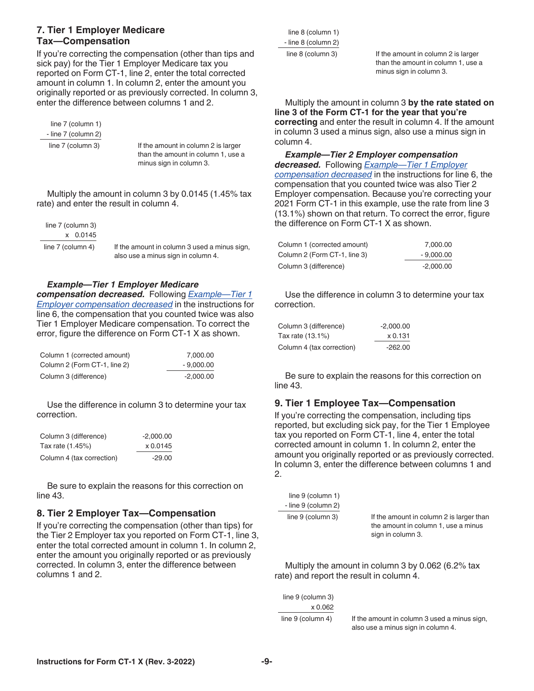#### **7. Tier 1 Employer Medicare Tax—Compensation**

If you're correcting the compensation (other than tips and sick pay) for the Tier 1 Employer Medicare tax you reported on Form CT-1, line 2, enter the total corrected amount in column 1. In column 2, enter the amount you originally reported or as previously corrected. In column 3, enter the difference between columns 1 and 2.

 line 7 (column 1) - line 7 (column 2)

line 7 (column 3) If the amount in column 2 is larger than the amount in column 1, use a minus sign in column 3.

Multiply the amount in column 3 by 0.0145 (1.45% tax rate) and enter the result in column 4.

| line 7 (column 3) |  |            |
|-------------------|--|------------|
|                   |  | $x$ 0.0145 |
| line 7 (column 4) |  |            |

If the amount in column 3 used a minus sign, also use a minus sign in column 4.

#### *Example—Tier 1 Employer Medicare*

*compensation decreased.* Following *[Example—Tier 1](#page-7-0)  [Employer compensation decreased](#page-7-0)* in the instructions for line 6, the compensation that you counted twice was also Tier 1 Employer Medicare compensation. To correct the error, figure the difference on Form CT-1 X as shown.

| Column 1 (corrected amount)  | 7.000.00    |
|------------------------------|-------------|
| Column 2 (Form CT-1, line 2) | $-9.000.00$ |
| Column 3 (difference)        | $-2.000.00$ |

Use the difference in column 3 to determine your tax correction.

| Column 3 (difference)     | $-2.000.00$ |
|---------------------------|-------------|
| Tax rate (1.45%)          | x 0.0145    |
| Column 4 (tax correction) | -29.00      |

Be sure to explain the reasons for this correction on line 43.

#### **8. Tier 2 Employer Tax—Compensation**

If you're correcting the compensation (other than tips) for the Tier 2 Employer tax you reported on Form CT-1, line 3, enter the total corrected amount in column 1. In column 2, enter the amount you originally reported or as previously corrected. In column 3, enter the difference between columns 1 and 2.

 line 8 (column 1) - line 8 (column 2)

line 8 (column 3) If the amount in column 2 is larger than the amount in column 1, use a minus sign in column 3.

Multiply the amount in column 3 **by the rate stated on line 3 of the Form CT-1 for the year that you're correcting** and enter the result in column 4. If the amount in column 3 used a minus sign, also use a minus sign in column 4.

*Example—Tier 2 Employer compensation decreased.* Following *[Example—Tier 1 Employer](#page-7-0)  [compensation decreased](#page-7-0)* in the instructions for line 6, the compensation that you counted twice was also Tier 2 Employer compensation. Because you're correcting your 2021 Form CT-1 in this example, use the rate from line 3 (13.1%) shown on that return. To correct the error, figure the difference on Form CT-1 X as shown.

| Column 1 (corrected amount)  | 7.000.00    |
|------------------------------|-------------|
| Column 2 (Form CT-1, line 3) | $-9.000.00$ |
| Column 3 (difference)        | $-2,000.00$ |

Use the difference in column 3 to determine your tax correction.

| Column 3 (difference)     | $-2.000.00$ |
|---------------------------|-------------|
| Tax rate (13.1%)          | x 0.131     |
| Column 4 (tax correction) | $-262.00$   |

Be sure to explain the reasons for this correction on line 43.

#### **9. Tier 1 Employee Tax—Compensation**

If you're correcting the compensation, including tips reported, but excluding sick pay, for the Tier 1 Employee tax you reported on Form CT-1, line 4, enter the total corrected amount in column 1. In column 2, enter the amount you originally reported or as previously corrected. In column 3, enter the difference between columns 1 and 2.

| line $9$ (column 1) |                                                                                                      |
|---------------------|------------------------------------------------------------------------------------------------------|
| - line 9 (column 2) |                                                                                                      |
| line 9 (column 3)   | If the amount in column 2 is larger than<br>the amount in column 1, use a minus<br>sign in column 3. |

Multiply the amount in column 3 by 0.062 (6.2% tax rate) and report the result in column 4.

| line 9 (column 3) |      |
|-------------------|------|
| x 0.062           |      |
| line 9 (column 4) | If t |

he amount in column 3 used a minus sign, also use a minus sign in column 4.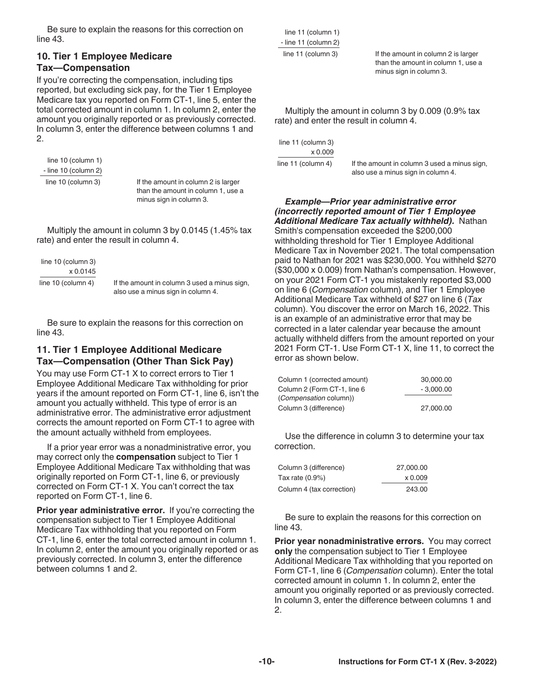<span id="page-9-0"></span>Be sure to explain the reasons for this correction on line 43.

#### **10. Tier 1 Employee Medicare Tax—Compensation**

If you're correcting the compensation, including tips reported, but excluding sick pay, for the Tier 1 Employee Medicare tax you reported on Form CT-1, line 5, enter the total corrected amount in column 1. In column 2, enter the amount you originally reported or as previously corrected. In column 3, enter the difference between columns 1 and 2.

 line 10 (column 1) - line 10 (column 2)

line 10 (column 3) If the amount in column 2 is larger than the amount in column 1, use a minus sign in column 3.

Multiply the amount in column 3 by 0.0145 (1.45% tax rate) and enter the result in column 4.

line 10 (column 3) x 0.0145

line 10 (column 4) If the amount in column 3 used a minus sign, also use a minus sign in column 4.

Be sure to explain the reasons for this correction on line 43.

#### **11. Tier 1 Employee Additional Medicare Tax—Compensation (Other Than Sick Pay)**

You may use Form CT-1 X to correct errors to Tier 1 Employee Additional Medicare Tax withholding for prior years if the amount reported on Form CT-1, line 6, isn't the amount you actually withheld. This type of error is an administrative error. The administrative error adjustment corrects the amount reported on Form CT-1 to agree with the amount actually withheld from employees.

If a prior year error was a nonadministrative error, you may correct only the **compensation** subject to Tier 1 Employee Additional Medicare Tax withholding that was originally reported on Form CT-1, line 6, or previously corrected on Form CT-1 X. You can't correct the tax reported on Form CT-1, line 6.

**Prior year administrative error.** If you're correcting the compensation subject to Tier 1 Employee Additional Medicare Tax withholding that you reported on Form CT-1, line 6, enter the total corrected amount in column 1. In column 2, enter the amount you originally reported or as previously corrected. In column 3, enter the difference between columns 1 and 2.

 line 11 (column 1) - line 11 (column 2)

line 11 (column 3) If the amount in column 2 is larger than the amount in column 1, use a minus sign in column 3.

Multiply the amount in column 3 by 0.009 (0.9% tax rate) and enter the result in column 4.

line 11 (column 3) x 0.009

line 11 (column 4) If the amount in column 3 used a minus sign, also use a minus sign in column 4.

*Example—Prior year administrative error (incorrectly reported amount of Tier 1 Employee Additional Medicare Tax actually withheld).* Nathan Smith's compensation exceeded the \$200,000 withholding threshold for Tier 1 Employee Additional Medicare Tax in November 2021. The total compensation paid to Nathan for 2021 was \$230,000. You withheld \$270 (\$30,000 x 0.009) from Nathan's compensation. However, on your 2021 Form CT-1 you mistakenly reported \$3,000 on line 6 (*Compensation* column), and Tier 1 Employee Additional Medicare Tax withheld of \$27 on line 6 (*Tax*  column). You discover the error on March 16, 2022. This is an example of an administrative error that may be corrected in a later calendar year because the amount actually withheld differs from the amount reported on your 2021 Form CT-1. Use Form CT-1 X, line 11, to correct the error as shown below.

| Column 1 (corrected amount)   | 30,000,00   |
|-------------------------------|-------------|
| Column 2 (Form CT-1, line 6   | $-3.000.00$ |
| <i>(Compensation column))</i> |             |
| Column 3 (difference)         | 27,000.00   |

Use the difference in column 3 to determine your tax correction.

| Column 3 (difference)     | 27,000.00 |
|---------------------------|-----------|
| Tax rate (0.9%)           | x 0.009   |
| Column 4 (tax correction) | 243.00    |

Be sure to explain the reasons for this correction on line 43.

**Prior year nonadministrative errors.** You may correct **only** the compensation subject to Tier 1 Employee Additional Medicare Tax withholding that you reported on Form CT-1, line 6 (*Compensation* column). Enter the total corrected amount in column 1. In column 2, enter the amount you originally reported or as previously corrected. In column 3, enter the difference between columns 1 and 2.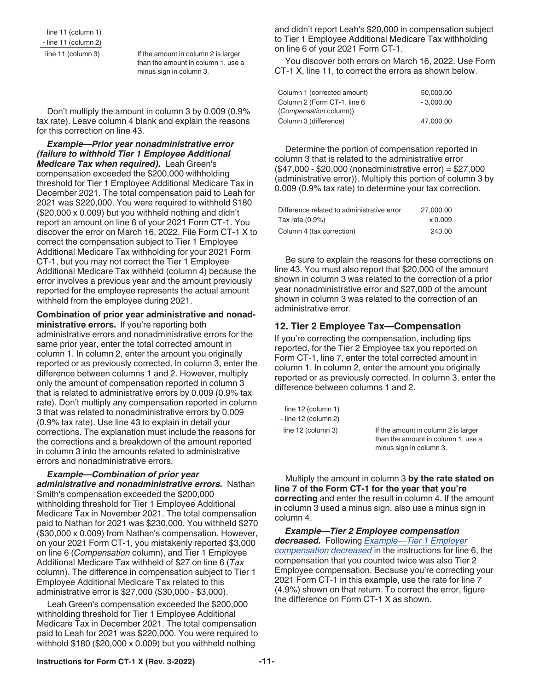line 11 (column 1) - line 11 (column 2)

line 11 (column 3) If the amount in column 2 is larger than the amount in column 1, use a minus sign in column 3.

Don't multiply the amount in column 3 by 0.009 (0.9% tax rate). Leave column 4 blank and explain the reasons for this correction on line 43.

*Example—Prior year nonadministrative error (failure to withhold Tier 1 Employee Additional Medicare Tax when required).* Leah Green's compensation exceeded the \$200,000 withholding threshold for Tier 1 Employee Additional Medicare Tax in December 2021. The total compensation paid to Leah for 2021 was \$220,000. You were required to withhold \$180 (\$20,000 x 0.009) but you withheld nothing and didn't report an amount on line 6 of your 2021 Form CT-1. You discover the error on March 16, 2022. File Form CT-1 X to correct the compensation subject to Tier 1 Employee Additional Medicare Tax withholding for your 2021 Form CT-1, but you may not correct the Tier 1 Employee Additional Medicare Tax withheld (column 4) because the error involves a previous year and the amount previously reported for the employee represents the actual amount withheld from the employee during 2021.

**Combination of prior year administrative and nonad-**

**ministrative errors.** If you're reporting both administrative errors and nonadministrative errors for the same prior year, enter the total corrected amount in column 1. In column 2, enter the amount you originally reported or as previously corrected. In column 3, enter the difference between columns 1 and 2. However, multiply only the amount of compensation reported in column 3 that is related to administrative errors by 0.009 (0.9% tax rate). Don't multiply any compensation reported in column 3 that was related to nonadministrative errors by 0.009 (0.9% tax rate). Use line 43 to explain in detail your corrections. The explanation must include the reasons for the corrections and a breakdown of the amount reported in column 3 into the amounts related to administrative errors and nonadministrative errors.

*Example—Combination of prior year administrative and nonadministrative errors.* Nathan Smith's compensation exceeded the \$200,000 withholding threshold for Tier 1 Employee Additional Medicare Tax in November 2021. The total compensation paid to Nathan for 2021 was \$230,000. You withheld \$270 (\$30,000 x 0.009) from Nathan's compensation. However, on your 2021 Form CT-1, you mistakenly reported \$3,000 on line 6 (*Compensation* column), and Tier 1 Employee Additional Medicare Tax withheld of \$27 on line 6 (*Tax*  column). The difference in compensation subject to Tier 1 Employee Additional Medicare Tax related to this administrative error is \$27,000 (\$30,000 - \$3,000).

Leah Green's compensation exceeded the \$200,000 withholding threshold for Tier 1 Employee Additional Medicare Tax in December 2021. The total compensation paid to Leah for 2021 was \$220,000. You were required to withhold \$180 (\$20,000 x 0.009) but you withheld nothing

and didn't report Leah's \$20,000 in compensation subject to Tier 1 Employee Additional Medicare Tax withholding on line 6 of your 2021 Form CT-1.

You discover both errors on March 16, 2022. Use Form CT-1 X, line 11, to correct the errors as shown below.

| Column 1 (corrected amount)   | 50,000,00   |
|-------------------------------|-------------|
| Column 2 (Form CT-1, line 6   | $-3.000.00$ |
| <i>(Compensation column))</i> |             |
| Column 3 (difference)         | 47.000.00   |

Determine the portion of compensation reported in column 3 that is related to the administrative error (\$47,000 - \$20,000 (nonadministrative error) = \$27,000 (administrative error)). Multiply this portion of column 3 by 0.009 (0.9% tax rate) to determine your tax correction.

| Difference related to administrative error | 27,000,00      |
|--------------------------------------------|----------------|
| Tax rate (0.9%)                            | $\times 0.009$ |
| Column 4 (tax correction)                  | 243.00         |

Be sure to explain the reasons for these corrections on line 43. You must also report that \$20,000 of the amount shown in column 3 was related to the correction of a prior year nonadministrative error and \$27,000 of the amount shown in column 3 was related to the correction of an administrative error.

#### **12. Tier 2 Employee Tax—Compensation**

If you're correcting the compensation, including tips reported, for the Tier 2 Employee tax you reported on Form CT-1, line 7, enter the total corrected amount in column 1. In column 2, enter the amount you originally reported or as previously corrected. In column 3, enter the difference between columns 1 and 2.

| line $12$ (column $1$ ) |                                                                                                      |
|-------------------------|------------------------------------------------------------------------------------------------------|
| - line 12 (column 2)    |                                                                                                      |
| line $12$ (column 3)    | If the amount in column 2 is larger<br>than the amount in column 1, use a<br>minus sign in column 3. |

Multiply the amount in column 3 **by the rate stated on line 7 of the Form CT-1 for the year that you're correcting** and enter the result in column 4. If the amount in column 3 used a minus sign, also use a minus sign in column 4.

*Example—Tier 2 Employee compensation decreased.* Following *[Example—Tier 1 Employer](#page-7-0)  [compensation decreased](#page-7-0)* in the instructions for line 6, the compensation that you counted twice was also Tier 2 Employee compensation. Because you're correcting your 2021 Form CT-1 in this example, use the rate for line 7 (4.9%) shown on that return. To correct the error, figure the difference on Form CT-1 X as shown.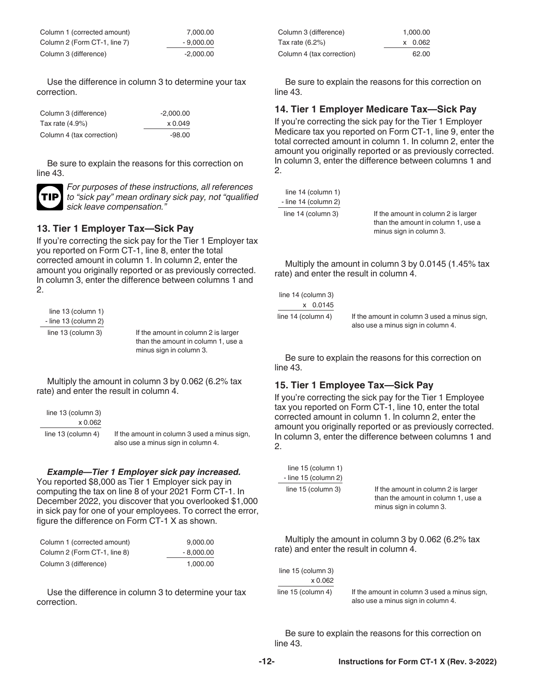| Column 1 (corrected amount)  | 7.000.00    |
|------------------------------|-------------|
| Column 2 (Form CT-1, line 7) | $-9.000.00$ |
| Column 3 (difference)        | $-2.000.00$ |

Use the difference in column 3 to determine your tax correction.

| Column 3 (difference)     | $-2.000.00$ |
|---------------------------|-------------|
| Tax rate $(4.9\%)$        | x 0.049     |
| Column 4 (tax correction) | $-98.00$    |

Be sure to explain the reasons for this correction on line 43.



*For purposes of these instructions, all references to "sick pay" mean ordinary sick pay, not "qualified sick leave compensation."*

#### **13. Tier 1 Employer Tax—Sick Pay**

If you're correcting the sick pay for the Tier 1 Employer tax you reported on Form CT-1, line 8, enter the total corrected amount in column 1. In column 2, enter the amount you originally reported or as previously corrected. In column 3, enter the difference between columns 1 and 2.

 line 13 (column 1) - line 13 (column 2)

line 13 (column 3) If the amount in column 2 is larger than the amount in column 1, use a minus sign in column 3.

Multiply the amount in column 3 by 0.062 (6.2% tax rate) and enter the result in column 4.

| line 13 (column 3)   |                                                                                    |
|----------------------|------------------------------------------------------------------------------------|
| x 0.062              |                                                                                    |
| line $13$ (column 4) | If the amount in column 3 used a minus sign,<br>also use a minus sign in column 4. |

#### *Example—Tier 1 Employer sick pay increased.*

You reported \$8,000 as Tier 1 Employer sick pay in computing the tax on line 8 of your 2021 Form CT-1. In December 2022, you discover that you overlooked \$1,000 in sick pay for one of your employees. To correct the error, figure the difference on Form CT-1 X as shown.

| Column 1 (corrected amount)  | 9.000.00    |
|------------------------------|-------------|
| Column 2 (Form CT-1, line 8) | $-8.000.00$ |
| Column 3 (difference)        | 1.000.00    |

Use the difference in column 3 to determine your tax correction.

| Column 3 (difference)     | 1.000.00 |
|---------------------------|----------|
| Tax rate (6.2%)           | x 0.062  |
| Column 4 (tax correction) | 62.00    |

Be sure to explain the reasons for this correction on line 43.

#### **14. Tier 1 Employer Medicare Tax—Sick Pay**

If you're correcting the sick pay for the Tier 1 Employer Medicare tax you reported on Form CT-1, line 9, enter the total corrected amount in column 1. In column 2, enter the amount you originally reported or as previously corrected. In column 3, enter the difference between columns 1 and 2.

| line 14 (column 1)   |
|----------------------|
| - line 14 (column 2) |
| line 14 (column 3)   |

If the amount in column 2 is larger than the amount in column 1, use a minus sign in column 3.

Multiply the amount in column 3 by 0.0145 (1.45% tax rate) and enter the result in column 4.

| line $14$ (column 3) |                                              |
|----------------------|----------------------------------------------|
| x 0.0145             |                                              |
| line $14$ (column 4) | If the amount in column 3 used a minus sign, |
|                      | also use a minus sign in column 4.           |

Be sure to explain the reasons for this correction on line 43.

#### **15. Tier 1 Employee Tax—Sick Pay**

If you're correcting the sick pay for the Tier 1 Employee tax you reported on Form CT-1, line 10, enter the total corrected amount in column 1. In column 2, enter the amount you originally reported or as previously corrected. In column 3, enter the difference between columns 1 and 2.

| line 15 (column 1)   |  |
|----------------------|--|
| - line 15 (column 2) |  |
| line 15 (column 3)   |  |

If the amount in column 2 is larger than the amount in column 1, use a minus sign in column 3.

Multiply the amount in column 3 by 0.062 (6.2% tax rate) and enter the result in column 4.

| line $15$ (column 3) |                                                                                    |
|----------------------|------------------------------------------------------------------------------------|
| x 0.062              |                                                                                    |
| line $15$ (column 4) | If the amount in column 3 used a minus sign,<br>also use a minus sign in column 4. |

Be sure to explain the reasons for this correction on line 43.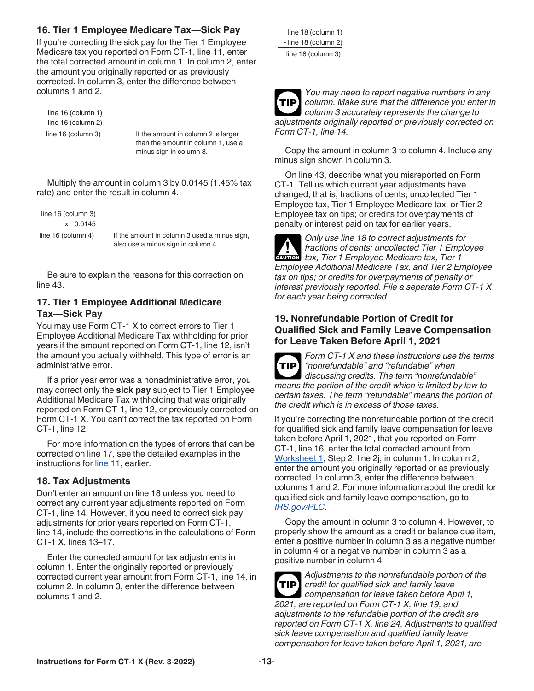### <span id="page-12-0"></span>**16. Tier 1 Employee Medicare Tax—Sick Pay**

If you're correcting the sick pay for the Tier 1 Employee Medicare tax you reported on Form CT-1, line 11, enter the total corrected amount in column 1. In column 2, enter the amount you originally reported or as previously corrected. In column 3, enter the difference between columns 1 and 2.

 line 16 (column 1) - line 16 (column 2)

line 16 (column 3) If the amount in column 2 is larger than the amount in column 1, use a minus sign in column 3.

Multiply the amount in column 3 by 0.0145 (1.45% tax rate) and enter the result in column 4.

line 16 (column 3) x 0.0145

line 16 (column 4) If the amount in column 3 used a minus sign, also use a minus sign in column 4.

Be sure to explain the reasons for this correction on line 43.

#### **17. Tier 1 Employee Additional Medicare Tax—Sick Pay**

You may use Form CT-1 X to correct errors to Tier 1 Employee Additional Medicare Tax withholding for prior years if the amount reported on Form CT-1, line 12, isn't the amount you actually withheld. This type of error is an administrative error.

If a prior year error was a nonadministrative error, you may correct only the **sick pay** subject to Tier 1 Employee Additional Medicare Tax withholding that was originally reported on Form CT-1, line 12, or previously corrected on Form CT-1 X. You can't correct the tax reported on Form CT-1, line 12.

For more information on the types of errors that can be corrected on line 17, see the detailed examples in the instructions for [line 11,](#page-9-0) earlier.

#### **18. Tax Adjustments**

Don't enter an amount on line 18 unless you need to correct any current year adjustments reported on Form CT-1, line 14. However, if you need to correct sick pay adjustments for prior years reported on Form CT-1, line 14, include the corrections in the calculations of Form CT-1 X, lines 13–17.

Enter the corrected amount for tax adjustments in column 1. Enter the originally reported or previously corrected current year amount from Form CT-1, line 14, in column 2. In column 3, enter the difference between columns 1 and 2.

| line 18 (column 1)   |
|----------------------|
| - line 18 (column 2) |
| line 18 (column 3)   |

*You may need to report negative numbers in any column. Make sure that the difference you enter in column 3 accurately represents the change to adjustments originally reported or previously corrected on Form CT-1, line 14.* **TIP**

Copy the amount in column 3 to column 4. Include any minus sign shown in column 3.

On line 43, describe what you misreported on Form CT-1. Tell us which current year adjustments have changed, that is, fractions of cents; uncollected Tier 1 Employee tax, Tier 1 Employee Medicare tax, or Tier 2 Employee tax on tips; or credits for overpayments of penalty or interest paid on tax for earlier years.

*Only use line 18 to correct adjustments for fractions of cents; uncollected Tier 1 Employee*  **h** *tax, Tier 1 Employee Medicare tax, Tier 1 Employee Medicare tax, Tier 1 Employee Additional Medicare Tax, and Tier 2 Employee tax on tips; or credits for overpayments of penalty or interest previously reported. File a separate Form CT-1 X for each year being corrected.*

#### **19. Nonrefundable Portion of Credit for Qualified Sick and Family Leave Compensation for Leave Taken Before April 1, 2021**



*Form CT-1 X and these instructions use the terms "nonrefundable" and "refundable" when discussing credits. The term "nonrefundable" means the portion of the credit which is limited by law to certain taxes. The term "refundable" means the portion of the credit which is in excess of those taxes.*

If you're correcting the nonrefundable portion of the credit for qualified sick and family leave compensation for leave taken before April 1, 2021, that you reported on Form CT-1, line 16, enter the total corrected amount from [Worksheet 1,](#page-22-0) Step 2, line 2j, in column 1. In column 2, enter the amount you originally reported or as previously corrected. In column 3, enter the difference between columns 1 and 2. For more information about the credit for qualified sick and family leave compensation, go to *[IRS.gov/PLC](https://www.irs.gov/plc)*.

Copy the amount in column 3 to column 4. However, to properly show the amount as a credit or balance due item, enter a positive number in column 3 as a negative number in column 4 or a negative number in column 3 as a positive number in column 4.

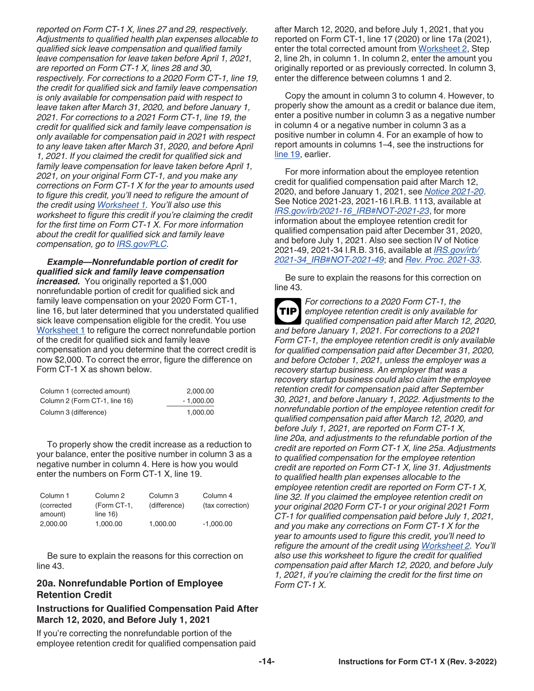*reported on Form CT-1 X, lines 27 and 29, respectively. Adjustments to qualified health plan expenses allocable to qualified sick leave compensation and qualified family leave compensation for leave taken before April 1, 2021, are reported on Form CT-1 X, lines 28 and 30, respectively. For corrections to a 2020 Form CT-1, line 19, the credit for qualified sick and family leave compensation is only available for compensation paid with respect to leave taken after March 31, 2020, and before January 1, 2021. For corrections to a 2021 Form CT-1, line 19, the credit for qualified sick and family leave compensation is only available for compensation paid in 2021 with respect to any leave taken after March 31, 2020, and before April 1, 2021. If you claimed the credit for qualified sick and family leave compensation for leave taken before April 1, 2021, on your original Form CT-1, and you make any corrections on Form CT-1 X for the year to amounts used to figure this credit, you'll need to refigure the amount of the credit using [Worksheet 1](#page-22-0). You'll also use this worksheet to figure this credit if you're claiming the credit for the first time on Form CT-1 X. For more information about the credit for qualified sick and family leave compensation, go to [IRS.gov/PLC](https://www.irs.gov/plc).*

*Example—Nonrefundable portion of credit for qualified sick and family leave compensation increased.* You originally reported a \$1,000 nonrefundable portion of credit for qualified sick and family leave compensation on your 2020 Form CT-1, line 16, but later determined that you understated qualified sick leave compensation eligible for the credit. You use [Worksheet 1](#page-22-0) to refigure the correct nonrefundable portion of the credit for qualified sick and family leave compensation and you determine that the correct credit is now \$2,000. To correct the error, figure the difference on Form CT-1 X as shown below.

| Column 1 (corrected amount)   | 2.000.00    |
|-------------------------------|-------------|
| Column 2 (Form CT-1, line 16) | $-1.000.00$ |
| Column 3 (difference)         | 1.000.00    |

To properly show the credit increase as a reduction to your balance, enter the positive number in column 3 as a negative number in column 4. Here is how you would enter the numbers on Form CT-1 X, line 19.

| Column 1   | Column 2    | Column 3     | Column 4         |
|------------|-------------|--------------|------------------|
| (corrected | (Form CT-1, | (difference) | (tax correction) |
| amount)    | line $16$ ) |              |                  |
| 2.000.00   | 1.000.00    | 1.000.00     | $-1.000.00$      |
|            |             |              |                  |

Be sure to explain the reasons for this correction on line 43.

#### **20a. Nonrefundable Portion of Employee Retention Credit**

#### **Instructions for Qualified Compensation Paid After March 12, 2020, and Before July 1, 2021**

If you're correcting the nonrefundable portion of the employee retention credit for qualified compensation paid after March 12, 2020, and before July 1, 2021, that you reported on Form CT-1, line 17 (2020) or line 17a (2021), enter the total corrected amount from [Worksheet 2,](#page-23-0) Step 2, line 2h, in column 1. In column 2, enter the amount you originally reported or as previously corrected. In column 3, enter the difference between columns 1 and 2.

Copy the amount in column 3 to column 4. However, to properly show the amount as a credit or balance due item, enter a positive number in column 3 as a negative number in column 4 or a negative number in column 3 as a positive number in column 4. For an example of how to report amounts in columns 1–4, see the instructions for [line 19](#page-12-0), earlier.

For more information about the employee retention credit for qualified compensation paid after March 12, 2020, and before January 1, 2021, see *[Notice 2021-20](https://www.irs.gov/irb/2021-11_IRB#NOT-2021-20)*. See Notice 2021-23, 2021-16 I.R.B. 1113, available at *[IRS.gov/irb/2021-16\\_IRB#NOT-2021-23](https://www.irs.gov/irb/2021-16_IRB#NOT-2021-23)*, for more information about the employee retention credit for qualified compensation paid after December 31, 2020, and before July 1, 2021. Also see section IV of Notice 2021-49, 2021-34 I.R.B. 316, available at *[IRS.gov/irb/](https://www.irs.gov/irb/2021-34_IRB#NOT-2021-49) [2021-34\\_IRB#NOT-2021-49](https://www.irs.gov/irb/2021-34_IRB#NOT-2021-49)*; and *[Rev. Proc. 2021-33](https://www.irs.gov/irb/2021-34_IRB#REV-PROC-2021-33)*.

Be sure to explain the reasons for this correction on line 43.

*For corrections to a 2020 Form CT-1, the employee retention credit is only available for qualified compensation paid after March 12, 2020, and before January 1, 2021. For corrections to a 2021 Form CT-1, the employee retention credit is only available for qualified compensation paid after December 31, 2020, and before October 1, 2021, unless the employer was a recovery startup business. An employer that was a recovery startup business could also claim the employee retention credit for compensation paid after September 30, 2021, and before January 1, 2022. Adjustments to the nonrefundable portion of the employee retention credit for qualified compensation paid after March 12, 2020, and before July 1, 2021, are reported on Form CT-1 X, line 20a, and adjustments to the refundable portion of the credit are reported on Form CT-1 X, line 25a. Adjustments to qualified compensation for the employee retention credit are reported on Form CT-1 X, line 31. Adjustments to qualified health plan expenses allocable to the employee retention credit are reported on Form CT-1 X, line 32. If you claimed the employee retention credit on your original 2020 Form CT-1 or your original 2021 Form CT-1 for qualified compensation paid before July 1, 2021, and you make any corrections on Form CT-1 X for the year to amounts used to figure this credit, you'll need to refigure the amount of the credit using [Worksheet 2.](#page-23-0) You'll also use this worksheet to figure the credit for qualified compensation paid after March 12, 2020, and before July 1, 2021, if you're claiming the credit for the first time on Form CT-1 X.* **TIP**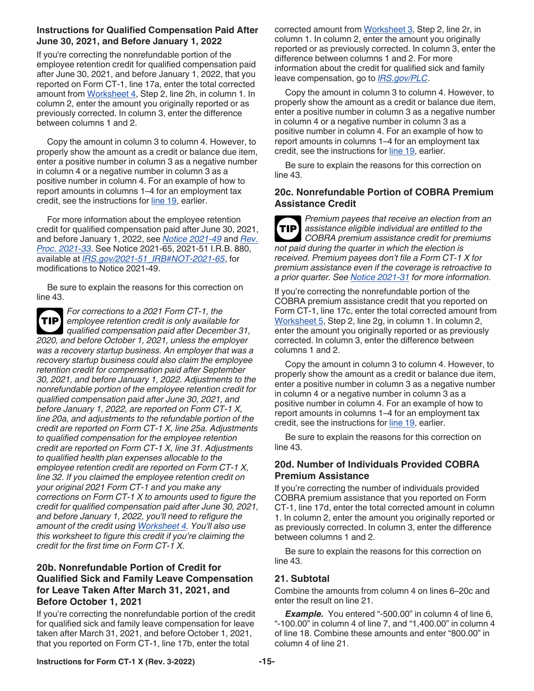#### **Instructions for Qualified Compensation Paid After June 30, 2021, and Before January 1, 2022**

If you're correcting the nonrefundable portion of the employee retention credit for qualified compensation paid after June 30, 2021, and before January 1, 2022, that you reported on Form CT-1, line 17a, enter the total corrected amount from [Worksheet 4,](#page-25-0) Step 2, line 2h, in column 1. In column 2, enter the amount you originally reported or as previously corrected. In column 3, enter the difference between columns 1 and 2.

Copy the amount in column 3 to column 4. However, to properly show the amount as a credit or balance due item, enter a positive number in column 3 as a negative number in column 4 or a negative number in column 3 as a positive number in column 4. For an example of how to report amounts in columns 1–4 for an employment tax credit, see the instructions for [line 19,](#page-12-0) earlier.

For more information about the employee retention credit for qualified compensation paid after June 30, 2021, and before January 1, 2022, see *[Notice 2021-49](https://www.irs.gov/irb/2021-34_IRB#NOT-2021-49)* and *[Rev.](https://www.irs.gov/irb/2021-34_IRB#REV-PROC-2021-33) [Proc. 2021-33](https://www.irs.gov/irb/2021-34_IRB#REV-PROC-2021-33)*. See Notice 2021-65, 2021-51 I.R.B. 880, available at *[IRS.gov/2021-51\\_IRB#NOT-2021-65](https://www.irs.gov/irb/2021-51_IRB#NOT-2021-65)*, for modifications to Notice 2021-49.

Be sure to explain the reasons for this correction on line 43.

*For corrections to a 2021 Form CT-1, the employee retention credit is only available for qualified compensation paid after December 31, 2020, and before October 1, 2021, unless the employer was a recovery startup business. An employer that was a recovery startup business could also claim the employee retention credit for compensation paid after September 30, 2021, and before January 1, 2022. Adjustments to the nonrefundable portion of the employee retention credit for qualified compensation paid after June 30, 2021, and before January 1, 2022, are reported on Form CT-1 X, line 20a, and adjustments to the refundable portion of the credit are reported on Form CT-1 X, line 25a. Adjustments to qualified compensation for the employee retention credit are reported on Form CT-1 X, line 31. Adjustments to qualified health plan expenses allocable to the employee retention credit are reported on Form CT-1 X, line 32. If you claimed the employee retention credit on your original 2021 Form CT-1 and you make any corrections on Form CT-1 X to amounts used to figure the credit for qualified compensation paid after June 30, 2021, and before January 1, 2022, you'll need to refigure the amount of the credit using [Worksheet 4.](#page-25-0) You'll also use this worksheet to figure this credit if you're claiming the credit for the first time on Form CT-1 X.* **TIP**

#### **20b. Nonrefundable Portion of Credit for Qualified Sick and Family Leave Compensation for Leave Taken After March 31, 2021, and Before October 1, 2021**

If you're correcting the nonrefundable portion of the credit for qualified sick and family leave compensation for leave taken after March 31, 2021, and before October 1, 2021, that you reported on Form CT-1, line 17b, enter the total

corrected amount from [Worksheet 3](#page-24-0), Step 2, line 2r, in column 1. In column 2, enter the amount you originally reported or as previously corrected. In column 3, enter the difference between columns 1 and 2. For more information about the credit for qualified sick and family leave compensation, go to *[IRS.gov/PLC](https://www.irs.gov/plc)*.

Copy the amount in column 3 to column 4. However, to properly show the amount as a credit or balance due item, enter a positive number in column 3 as a negative number in column 4 or a negative number in column 3 as a positive number in column 4. For an example of how to report amounts in columns 1–4 for an employment tax credit, see the instructions for [line 19,](#page-12-0) earlier.

Be sure to explain the reasons for this correction on line 43.

### **20c. Nonrefundable Portion of COBRA Premium Assistance Credit**

*Premium payees that receive an election from an assistance eligible individual are entitled to the COBRA premium assistance credit for premiums not paid during the quarter in which the election is received. Premium payees don't file a Form CT-1 X for premium assistance even if the coverage is retroactive to a prior quarter. See [Notice 2021-31](https://www.irs.gov/irb/2021-23_IRB#NOT-2021-31) for more information.* **TIP**

If you're correcting the nonrefundable portion of the COBRA premium assistance credit that you reported on Form CT-1, line 17c, enter the total corrected amount from [Worksheet 5,](#page-26-0) Step 2, line 2g, in column 1. In column 2, enter the amount you originally reported or as previously corrected. In column 3, enter the difference between columns 1 and 2.

Copy the amount in column 3 to column 4. However, to properly show the amount as a credit or balance due item, enter a positive number in column 3 as a negative number in column 4 or a negative number in column 3 as a positive number in column 4. For an example of how to report amounts in columns 1–4 for an employment tax credit, see the instructions for [line 19,](#page-12-0) earlier.

Be sure to explain the reasons for this correction on line 43.

#### **20d. Number of Individuals Provided COBRA Premium Assistance**

If you're correcting the number of individuals provided COBRA premium assistance that you reported on Form CT-1, line 17d, enter the total corrected amount in column 1. In column 2, enter the amount you originally reported or as previously corrected. In column 3, enter the difference between columns 1 and 2.

Be sure to explain the reasons for this correction on line 43.

#### **21. Subtotal**

Combine the amounts from column 4 on lines 6–20c and enter the result on line 21.

**Example.** You entered "-500.00" in column 4 of line 6, "-100.00" in column 4 of line 7, and "1,400.00" in column 4 of line 18. Combine these amounts and enter "800.00" in column 4 of line 21.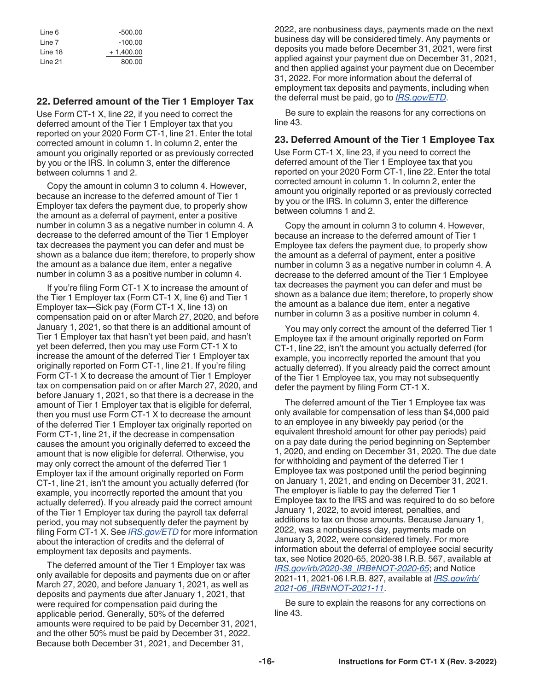| Line 6  | $-500.00$   |
|---------|-------------|
| Line 7  | $-100.00$   |
| Line 18 | $+1,400.00$ |
| Line 21 | 800.00      |

#### **22. Deferred amount of the Tier 1 Employer Tax**

Use Form CT-1 X, line 22, if you need to correct the deferred amount of the Tier 1 Employer tax that you reported on your 2020 Form CT-1, line 21. Enter the total corrected amount in column 1. In column 2, enter the amount you originally reported or as previously corrected by you or the IRS. In column 3, enter the difference between columns 1 and 2.

Copy the amount in column 3 to column 4. However, because an increase to the deferred amount of Tier 1 Employer tax defers the payment due, to properly show the amount as a deferral of payment, enter a positive number in column 3 as a negative number in column 4. A decrease to the deferred amount of the Tier 1 Employer tax decreases the payment you can defer and must be shown as a balance due item; therefore, to properly show the amount as a balance due item, enter a negative number in column 3 as a positive number in column 4.

If you're filing Form CT-1 X to increase the amount of the Tier 1 Employer tax (Form CT-1 X, line 6) and Tier 1 Employer tax—Sick pay (Form CT-1 X, line 13) on compensation paid on or after March 27, 2020, and before January 1, 2021, so that there is an additional amount of Tier 1 Employer tax that hasn't yet been paid, and hasn't yet been deferred, then you may use Form CT-1 X to increase the amount of the deferred Tier 1 Employer tax originally reported on Form CT-1, line 21. If you're filing Form CT-1 X to decrease the amount of Tier 1 Employer tax on compensation paid on or after March 27, 2020, and before January 1, 2021, so that there is a decrease in the amount of Tier 1 Employer tax that is eligible for deferral, then you must use Form CT-1 X to decrease the amount of the deferred Tier 1 Employer tax originally reported on Form CT-1, line 21, if the decrease in compensation causes the amount you originally deferred to exceed the amount that is now eligible for deferral. Otherwise, you may only correct the amount of the deferred Tier 1 Employer tax if the amount originally reported on Form CT-1, line 21, isn't the amount you actually deferred (for example, you incorrectly reported the amount that you actually deferred). If you already paid the correct amount of the Tier 1 Employer tax during the payroll tax deferral period, you may not subsequently defer the payment by filing Form CT-1 X. See *[IRS.gov/ETD](https://www.irs.gov/etd)* for more information about the interaction of credits and the deferral of employment tax deposits and payments.

The deferred amount of the Tier 1 Employer tax was only available for deposits and payments due on or after March 27, 2020, and before January 1, 2021, as well as deposits and payments due after January 1, 2021, that were required for compensation paid during the applicable period. Generally, 50% of the deferred amounts were required to be paid by December 31, 2021, and the other 50% must be paid by December 31, 2022. Because both December 31, 2021, and December 31,

2022, are nonbusiness days, payments made on the next business day will be considered timely. Any payments or deposits you made before December 31, 2021, were first applied against your payment due on December 31, 2021, and then applied against your payment due on December 31, 2022. For more information about the deferral of employment tax deposits and payments, including when the deferral must be paid, go to *[IRS.gov/ETD](https://www.irs.gov/etd)*.

Be sure to explain the reasons for any corrections on line 43.

#### **23. Deferred Amount of the Tier 1 Employee Tax**

Use Form CT-1 X, line 23, if you need to correct the deferred amount of the Tier 1 Employee tax that you reported on your 2020 Form CT-1, line 22. Enter the total corrected amount in column 1. In column 2, enter the amount you originally reported or as previously corrected by you or the IRS. In column 3, enter the difference between columns 1 and 2.

Copy the amount in column 3 to column 4. However, because an increase to the deferred amount of Tier 1 Employee tax defers the payment due, to properly show the amount as a deferral of payment, enter a positive number in column 3 as a negative number in column 4. A decrease to the deferred amount of the Tier 1 Employee tax decreases the payment you can defer and must be shown as a balance due item; therefore, to properly show the amount as a balance due item, enter a negative number in column 3 as a positive number in column 4.

You may only correct the amount of the deferred Tier 1 Employee tax if the amount originally reported on Form CT-1, line 22, isn't the amount you actually deferred (for example, you incorrectly reported the amount that you actually deferred). If you already paid the correct amount of the Tier 1 Employee tax, you may not subsequently defer the payment by filing Form CT-1 X.

The deferred amount of the Tier 1 Employee tax was only available for compensation of less than \$4,000 paid to an employee in any biweekly pay period (or the equivalent threshold amount for other pay periods) paid on a pay date during the period beginning on September 1, 2020, and ending on December 31, 2020. The due date for withholding and payment of the deferred Tier 1 Employee tax was postponed until the period beginning on January 1, 2021, and ending on December 31, 2021. The employer is liable to pay the deferred Tier 1 Employee tax to the IRS and was required to do so before January 1, 2022, to avoid interest, penalties, and additions to tax on those amounts. Because January 1, 2022, was a nonbusiness day, payments made on January 3, 2022, were considered timely. For more information about the deferral of employee social security tax, see Notice 2020-65, 2020-38 I.R.B. 567, available at *[IRS.gov/irb/2020-38\\_IRB#NOT-2020-65](https://www.irs.gov/irb/2020-38_IRB#NOT-2020-65)*; and Notice 2021-11, 2021-06 I.R.B. 827, available at *[IRS.gov/irb/](https://www.irs.gov/irb/2021-06_IRB#NOT-2021-11) [2021-06\\_IRB#NOT-2021-11](https://www.irs.gov/irb/2021-06_IRB#NOT-2021-11)*.

Be sure to explain the reasons for any corrections on line 43.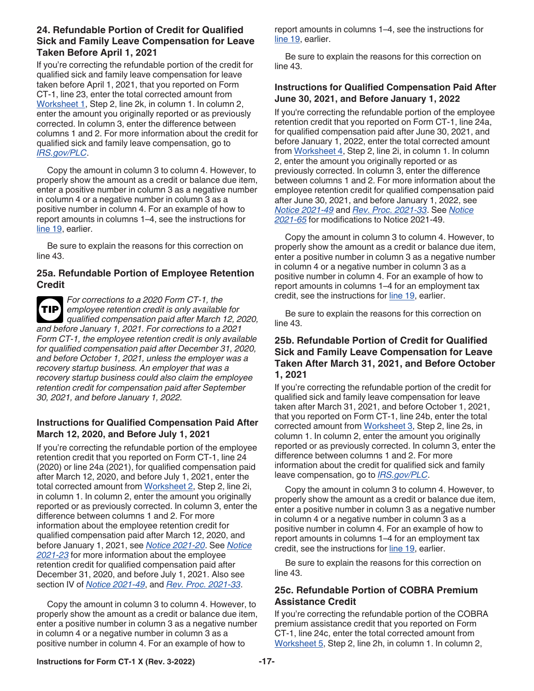### **24. Refundable Portion of Credit for Qualified Sick and Family Leave Compensation for Leave Taken Before April 1, 2021**

If you're correcting the refundable portion of the credit for qualified sick and family leave compensation for leave taken before April 1, 2021, that you reported on Form CT-1, line 23, enter the total corrected amount from [Worksheet 1,](#page-22-0) Step 2, line 2k, in column 1. In column 2, enter the amount you originally reported or as previously corrected. In column 3, enter the difference between columns 1 and 2. For more information about the credit for qualified sick and family leave compensation, go to *[IRS.gov/PLC](https://www.irs.gov/plc)*.

Copy the amount in column 3 to column 4. However, to properly show the amount as a credit or balance due item, enter a positive number in column 3 as a negative number in column 4 or a negative number in column 3 as a positive number in column 4. For an example of how to report amounts in columns 1–4, see the instructions for [line 19](#page-12-0), earlier.

Be sure to explain the reasons for this correction on line 43.

#### **25a. Refundable Portion of Employee Retention Credit**

*For corrections to a 2020 Form CT-1, the employee retention credit is only available for qualified compensation paid after March 12, 2020, and before January 1, 2021. For corrections to a 2021 Form CT-1, the employee retention credit is only available for qualified compensation paid after December 31, 2020, and before October 1, 2021, unless the employer was a recovery startup business. An employer that was a recovery startup business could also claim the employee retention credit for compensation paid after September 30, 2021, and before January 1, 2022.* **TIP**

#### **Instructions for Qualified Compensation Paid After March 12, 2020, and Before July 1, 2021**

If you're correcting the refundable portion of the employee retention credit that you reported on Form CT-1, line 24 (2020) or line 24a (2021), for qualified compensation paid after March 12, 2020, and before July 1, 2021, enter the total corrected amount from [Worksheet 2](#page-23-0), Step 2, line 2i, in column 1. In column 2, enter the amount you originally reported or as previously corrected. In column 3, enter the difference between columns 1 and 2. For more information about the employee retention credit for qualified compensation paid after March 12, 2020, and before January 1, 2021, see *[Notice 2021-20](https://www.irs.gov/irb/2021-11_IRB#NOT-2021-20)*. See *[Notice](https://www.irs.gov/irb/2021-16_IRB#NOT-2021-23)  [2021-23](https://www.irs.gov/irb/2021-16_IRB#NOT-2021-23)* for more information about the employee retention credit for qualified compensation paid after December 31, 2020, and before July 1, 2021. Also see section IV of *[Notice 2021-49](https://www.irs.gov/irb/2021-34_IRB#NOT-2021-49)*, and *[Rev. Proc. 2021-33](https://www.irs.gov/irb/2021-34_IRB#REV-PROC-2021-33)*.

Copy the amount in column 3 to column 4. However, to properly show the amount as a credit or balance due item, enter a positive number in column 3 as a negative number in column 4 or a negative number in column 3 as a positive number in column 4. For an example of how to

report amounts in columns 1–4, see the instructions for [line 19](#page-12-0), earlier.

Be sure to explain the reasons for this correction on line 43.

### **Instructions for Qualified Compensation Paid After June 30, 2021, and Before January 1, 2022**

If you're correcting the refundable portion of the employee retention credit that you reported on Form CT-1, line 24a, for qualified compensation paid after June 30, 2021, and before January 1, 2022, enter the total corrected amount from [Worksheet 4](#page-25-0), Step 2, line 2i, in column 1. In column 2, enter the amount you originally reported or as previously corrected. In column 3, enter the difference between columns 1 and 2. For more information about the employee retention credit for qualified compensation paid after June 30, 2021, and before January 1, 2022, see *[Notice 2021-49](https://www.irs.gov/irb/2021-34_IRB#NOT-2021-49)* and *[Rev. Proc. 2021-33](https://www.irs.gov/irb/2021-34_IRB#REV-PROC-2021-33)*. See *[Notice](https://www.irs.gov/irb/2021-51_IRB#NOT-2021-65) [2021-65](https://www.irs.gov/irb/2021-51_IRB#NOT-2021-65)* for modifications to Notice 2021-49.

Copy the amount in column 3 to column 4. However, to properly show the amount as a credit or balance due item, enter a positive number in column 3 as a negative number in column 4 or a negative number in column 3 as a positive number in column 4. For an example of how to report amounts in columns 1–4 for an employment tax credit, see the instructions for [line 19,](#page-12-0) earlier.

Be sure to explain the reasons for this correction on line 43.

#### **25b. Refundable Portion of Credit for Qualified Sick and Family Leave Compensation for Leave Taken After March 31, 2021, and Before October 1, 2021**

If you're correcting the refundable portion of the credit for qualified sick and family leave compensation for leave taken after March 31, 2021, and before October 1, 2021, that you reported on Form CT-1, line 24b, enter the total corrected amount from [Worksheet 3](#page-24-0), Step 2, line 2s, in column 1. In column 2, enter the amount you originally reported or as previously corrected. In column 3, enter the difference between columns 1 and 2. For more information about the credit for qualified sick and family leave compensation, go to *[IRS.gov/PLC](https://www.irs.gov/plc)*.

Copy the amount in column 3 to column 4. However, to properly show the amount as a credit or balance due item, enter a positive number in column 3 as a negative number in column 4 or a negative number in column 3 as a positive number in column 4. For an example of how to report amounts in columns 1–4 for an employment tax credit, see the instructions for [line 19,](#page-12-0) earlier.

Be sure to explain the reasons for this correction on line 43.

#### **25c. Refundable Portion of COBRA Premium Assistance Credit**

If you're correcting the refundable portion of the COBRA premium assistance credit that you reported on Form CT-1, line 24c, enter the total corrected amount from [Worksheet 5,](#page-26-0) Step 2, line 2h, in column 1. In column 2,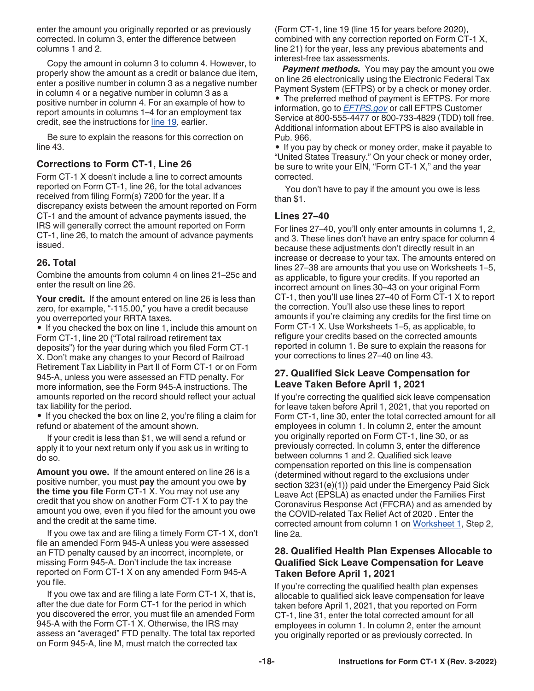<span id="page-17-0"></span>enter the amount you originally reported or as previously corrected. In column 3, enter the difference between columns 1 and 2.

Copy the amount in column 3 to column 4. However, to properly show the amount as a credit or balance due item, enter a positive number in column 3 as a negative number in column 4 or a negative number in column 3 as a positive number in column 4. For an example of how to report amounts in columns 1–4 for an employment tax credit, see the instructions for [line 19,](#page-12-0) earlier.

Be sure to explain the reasons for this correction on line 43.

### **Corrections to Form CT-1, Line 26**

Form CT-1 X doesn't include a line to correct amounts reported on Form CT-1, line 26, for the total advances received from filing Form(s) 7200 for the year. If a discrepancy exists between the amount reported on Form CT-1 and the amount of advance payments issued, the IRS will generally correct the amount reported on Form CT-1, line 26, to match the amount of advance payments issued.

#### **26. Total**

Combine the amounts from column 4 on lines 21–25c and enter the result on line 26.

**Your credit.** If the amount entered on line 26 is less than zero, for example, "-115.00," you have a credit because you overreported your RRTA taxes.

• If you checked the box on line 1, include this amount on Form CT-1, line 20 ("Total railroad retirement tax deposits") for the year during which you filed Form CT-1 X. Don't make any changes to your Record of Railroad Retirement Tax Liability in Part II of Form CT-1 or on Form 945-A, unless you were assessed an FTD penalty. For more information, see the Form 945-A instructions. The amounts reported on the record should reflect your actual tax liability for the period.

• If you checked the box on line 2, you're filing a claim for refund or abatement of the amount shown.

If your credit is less than \$1, we will send a refund or apply it to your next return only if you ask us in writing to do so.

**Amount you owe.** If the amount entered on line 26 is a positive number, you must **pay** the amount you owe **by the time you file** Form CT-1 X. You may not use any credit that you show on another Form CT-1 X to pay the amount you owe, even if you filed for the amount you owe and the credit at the same time.

If you owe tax and are filing a timely Form CT-1 X, don't file an amended Form 945-A unless you were assessed an FTD penalty caused by an incorrect, incomplete, or missing Form 945-A. Don't include the tax increase reported on Form CT-1 X on any amended Form 945-A you file.

If you owe tax and are filing a late Form CT-1 X, that is, after the due date for Form CT-1 for the period in which you discovered the error, you must file an amended Form 945-A with the Form CT-1 X. Otherwise, the IRS may assess an "averaged" FTD penalty. The total tax reported on Form 945-A, line M, must match the corrected tax

(Form CT-1, line 19 (line 15 for years before 2020), combined with any correction reported on Form CT-1 X, line 21) for the year, less any previous abatements and interest-free tax assessments.

**Payment methods.** You may pay the amount you owe on line 26 electronically using the Electronic Federal Tax Payment System (EFTPS) or by a check or money order. • The preferred method of payment is EFTPS. For more information, go to *[EFTPS.gov](https://www.eftps.gov)* or call EFTPS Customer Service at 800-555-4477 or 800-733-4829 (TDD) toll free. Additional information about EFTPS is also available in Pub. 966.

• If you pay by check or money order, make it payable to "United States Treasury." On your check or money order, be sure to write your EIN, "Form CT-1 X," and the year corrected.

You don't have to pay if the amount you owe is less than \$1.

#### **Lines 27–40**

For lines 27–40, you'll only enter amounts in columns 1, 2, and 3. These lines don't have an entry space for column 4 because these adjustments don't directly result in an increase or decrease to your tax. The amounts entered on lines 27–38 are amounts that you use on Worksheets 1–5, as applicable, to figure your credits. If you reported an incorrect amount on lines 30–43 on your original Form CT-1, then you'll use lines 27–40 of Form CT-1 X to report the correction. You'll also use these lines to report amounts if you're claiming any credits for the first time on Form CT-1 X. Use Worksheets 1–5, as applicable, to refigure your credits based on the corrected amounts reported in column 1. Be sure to explain the reasons for your corrections to lines 27–40 on line 43.

# **27. Qualified Sick Leave Compensation for Leave Taken Before April 1, 2021**

If you're correcting the qualified sick leave compensation for leave taken before April 1, 2021, that you reported on Form CT-1, line 30, enter the total corrected amount for all employees in column 1. In column 2, enter the amount you originally reported on Form CT-1, line 30, or as previously corrected. In column 3, enter the difference between columns 1 and 2. Qualified sick leave compensation reported on this line is compensation (determined without regard to the exclusions under section 3231(e)(1)) paid under the Emergency Paid Sick Leave Act (EPSLA) as enacted under the Families First Coronavirus Response Act (FFCRA) and as amended by the COVID-related Tax Relief Act of 2020 . Enter the corrected amount from column 1 on [Worksheet 1](#page-22-0), Step 2, line 2a.

#### **28. Qualified Health Plan Expenses Allocable to Qualified Sick Leave Compensation for Leave Taken Before April 1, 2021**

If you're correcting the qualified health plan expenses allocable to qualified sick leave compensation for leave taken before April 1, 2021, that you reported on Form CT-1, line 31, enter the total corrected amount for all employees in column 1. In column 2, enter the amount you originally reported or as previously corrected. In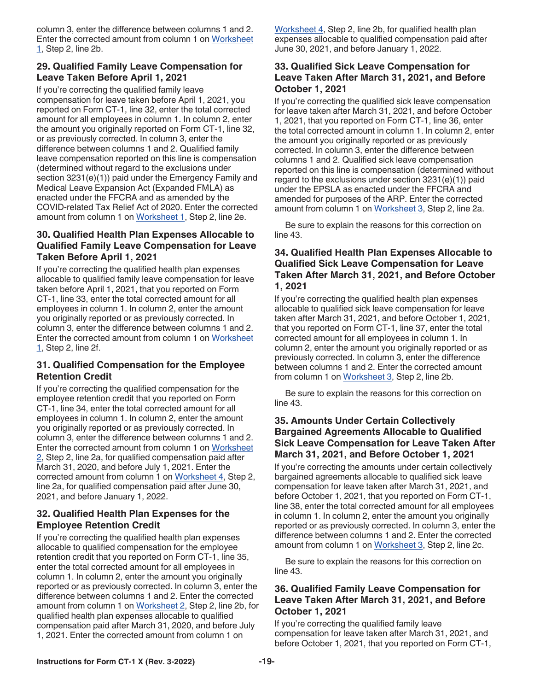column 3, enter the difference between columns 1 and 2. Enter the corrected amount from column 1 on [Worksheet](#page-22-0)  [1,](#page-22-0) Step 2, line 2b.

### **29. Qualified Family Leave Compensation for Leave Taken Before April 1, 2021**

If you're correcting the qualified family leave compensation for leave taken before April 1, 2021, you reported on Form CT-1, line 32, enter the total corrected amount for all employees in column 1. In column 2, enter the amount you originally reported on Form CT-1, line 32, or as previously corrected. In column 3, enter the difference between columns 1 and 2. Qualified family leave compensation reported on this line is compensation (determined without regard to the exclusions under section 3231(e)(1)) paid under the Emergency Family and Medical Leave Expansion Act (Expanded FMLA) as enacted under the FFCRA and as amended by the COVID-related Tax Relief Act of 2020. Enter the corrected amount from column 1 on [Worksheet 1,](#page-22-0) Step 2, line 2e.

### **30. Qualified Health Plan Expenses Allocable to Qualified Family Leave Compensation for Leave Taken Before April 1, 2021**

If you're correcting the qualified health plan expenses allocable to qualified family leave compensation for leave taken before April 1, 2021, that you reported on Form CT-1, line 33, enter the total corrected amount for all employees in column 1. In column 2, enter the amount you originally reported or as previously corrected. In column 3, enter the difference between columns 1 and 2. Enter the corrected amount from column 1 on [Worksheet](#page-22-0)  [1,](#page-22-0) Step 2, line 2f.

### **31. Qualified Compensation for the Employee Retention Credit**

If you're correcting the qualified compensation for the employee retention credit that you reported on Form CT-1, line 34, enter the total corrected amount for all employees in column 1. In column 2, enter the amount you originally reported or as previously corrected. In column 3, enter the difference between columns 1 and 2. Enter the corrected amount from column 1 on [Worksheet](#page-23-0)  [2,](#page-23-0) Step 2, line 2a, for qualified compensation paid after March 31, 2020, and before July 1, 2021. Enter the corrected amount from column 1 on [Worksheet 4](#page-25-0), Step 2, line 2a, for qualified compensation paid after June 30, 2021, and before January 1, 2022.

### **32. Qualified Health Plan Expenses for the Employee Retention Credit**

If you're correcting the qualified health plan expenses allocable to qualified compensation for the employee retention credit that you reported on Form CT-1, line 35, enter the total corrected amount for all employees in column 1. In column 2, enter the amount you originally reported or as previously corrected. In column 3, enter the difference between columns 1 and 2. Enter the corrected amount from column 1 on [Worksheet 2,](#page-23-0) Step 2, line 2b, for qualified health plan expenses allocable to qualified compensation paid after March 31, 2020, and before July 1, 2021. Enter the corrected amount from column 1 on

[Worksheet 4,](#page-25-0) Step 2, line 2b, for qualified health plan expenses allocable to qualified compensation paid after June 30, 2021, and before January 1, 2022.

### **33. Qualified Sick Leave Compensation for Leave Taken After March 31, 2021, and Before October 1, 2021**

If you're correcting the qualified sick leave compensation for leave taken after March 31, 2021, and before October 1, 2021, that you reported on Form CT-1, line 36, enter the total corrected amount in column 1. In column 2, enter the amount you originally reported or as previously corrected. In column 3, enter the difference between columns 1 and 2. Qualified sick leave compensation reported on this line is compensation (determined without regard to the exclusions under section 3231(e)(1)) paid under the EPSLA as enacted under the FFCRA and amended for purposes of the ARP. Enter the corrected amount from column 1 on [Worksheet 3,](#page-24-0) Step 2, line 2a.

Be sure to explain the reasons for this correction on line 43.

#### **34. Qualified Health Plan Expenses Allocable to Qualified Sick Leave Compensation for Leave Taken After March 31, 2021, and Before October 1, 2021**

If you're correcting the qualified health plan expenses allocable to qualified sick leave compensation for leave taken after March 31, 2021, and before October 1, 2021, that you reported on Form CT-1, line 37, enter the total corrected amount for all employees in column 1. In column 2, enter the amount you originally reported or as previously corrected. In column 3, enter the difference between columns 1 and 2. Enter the corrected amount from column 1 on [Worksheet 3](#page-24-0), Step 2, line 2b.

Be sure to explain the reasons for this correction on line 43.

### **35. Amounts Under Certain Collectively Bargained Agreements Allocable to Qualified Sick Leave Compensation for Leave Taken After March 31, 2021, and Before October 1, 2021**

If you're correcting the amounts under certain collectively bargained agreements allocable to qualified sick leave compensation for leave taken after March 31, 2021, and before October 1, 2021, that you reported on Form CT-1, line 38, enter the total corrected amount for all employees in column 1. In column 2, enter the amount you originally reported or as previously corrected. In column 3, enter the difference between columns 1 and 2. Enter the corrected amount from column 1 on [Worksheet 3,](#page-24-0) Step 2, line 2c.

Be sure to explain the reasons for this correction on line 43.

#### **36. Qualified Family Leave Compensation for Leave Taken After March 31, 2021, and Before October 1, 2021**

If you're correcting the qualified family leave compensation for leave taken after March 31, 2021, and before October 1, 2021, that you reported on Form CT-1,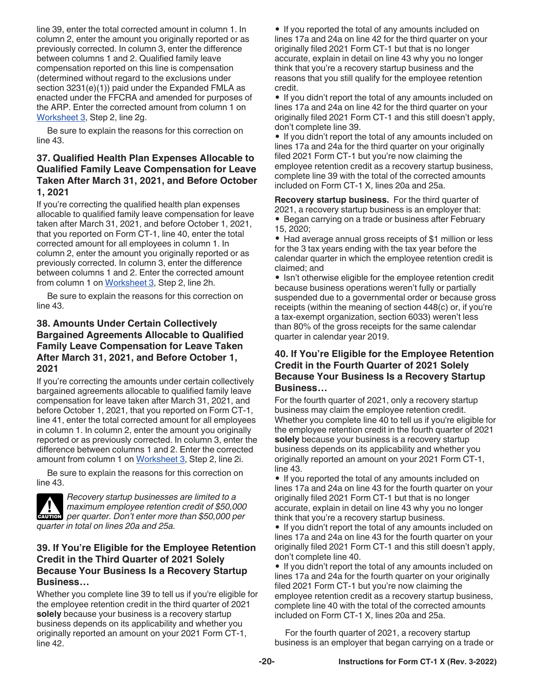line 39, enter the total corrected amount in column 1. In column 2, enter the amount you originally reported or as previously corrected. In column 3, enter the difference between columns 1 and 2. Qualified family leave compensation reported on this line is compensation (determined without regard to the exclusions under section 3231(e)(1)) paid under the Expanded FMLA as enacted under the FFCRA and amended for purposes of the ARP. Enter the corrected amount from column 1 on [Worksheet 3,](#page-24-0) Step 2, line 2g.

Be sure to explain the reasons for this correction on line 43.

### **37. Qualified Health Plan Expenses Allocable to Qualified Family Leave Compensation for Leave Taken After March 31, 2021, and Before October 1, 2021**

If you're correcting the qualified health plan expenses allocable to qualified family leave compensation for leave taken after March 31, 2021, and before October 1, 2021, that you reported on Form CT-1, line 40, enter the total corrected amount for all employees in column 1. In column 2, enter the amount you originally reported or as previously corrected. In column 3, enter the difference between columns 1 and 2. Enter the corrected amount from column 1 on [Worksheet 3](#page-24-0), Step 2, line 2h.

Be sure to explain the reasons for this correction on line 43.

### **38. Amounts Under Certain Collectively Bargained Agreements Allocable to Qualified Family Leave Compensation for Leave Taken After March 31, 2021, and Before October 1, 2021**

If you're correcting the amounts under certain collectively bargained agreements allocable to qualified family leave compensation for leave taken after March 31, 2021, and before October 1, 2021, that you reported on Form CT-1, line 41, enter the total corrected amount for all employees in column 1. In column 2, enter the amount you originally reported or as previously corrected. In column 3, enter the difference between columns 1 and 2. Enter the corrected amount from column 1 on [Worksheet 3,](#page-24-0) Step 2, line 2i.

Be sure to explain the reasons for this correction on line 43.



*Recovery startup businesses are limited to a maximum employee retention credit of \$50,000 per quarter. Don't enter more than \$50,000 per quarter. Don't enter more than \$50,000 per quarter in total on lines 20a and 25a.*

#### **39. If You're Eligible for the Employee Retention Credit in the Third Quarter of 2021 Solely Because Your Business Is a Recovery Startup Business…**

Whether you complete line 39 to tell us if you're eligible for the employee retention credit in the third quarter of 2021 **solely** because your business is a recovery startup business depends on its applicability and whether you originally reported an amount on your 2021 Form CT-1, line 42.

• If you reported the total of any amounts included on lines 17a and 24a on line 42 for the third quarter on your originally filed 2021 Form CT-1 but that is no longer accurate, explain in detail on line 43 why you no longer think that you're a recovery startup business and the reasons that you still qualify for the employee retention credit.

• If you didn't report the total of any amounts included on lines 17a and 24a on line 42 for the third quarter on your originally filed 2021 Form CT-1 and this still doesn't apply, don't complete line 39.

• If you didn't report the total of any amounts included on lines 17a and 24a for the third quarter on your originally filed 2021 Form CT-1 but you're now claiming the employee retention credit as a recovery startup business, complete line 39 with the total of the corrected amounts included on Form CT-1 X, lines 20a and 25a.

**Recovery startup business.** For the third quarter of 2021, a recovery startup business is an employer that: • Began carrying on a trade or business after February 15, 2020;

• Had average annual gross receipts of \$1 million or less for the 3 tax years ending with the tax year before the calendar quarter in which the employee retention credit is claimed; and

• Isn't otherwise eligible for the employee retention credit because business operations weren't fully or partially suspended due to a governmental order or because gross receipts (within the meaning of section 448(c) or, if you're a tax-exempt organization, section 6033) weren't less than 80% of the gross receipts for the same calendar quarter in calendar year 2019.

### **40. If You're Eligible for the Employee Retention Credit in the Fourth Quarter of 2021 Solely Because Your Business Is a Recovery Startup Business…**

For the fourth quarter of 2021, only a recovery startup business may claim the employee retention credit. Whether you complete line 40 to tell us if you're eligible for the employee retention credit in the fourth quarter of 2021 **solely** because your business is a recovery startup business depends on its applicability and whether you originally reported an amount on your 2021 Form CT-1, line 43.

• If you reported the total of any amounts included on lines 17a and 24a on line 43 for the fourth quarter on your originally filed 2021 Form CT-1 but that is no longer accurate, explain in detail on line 43 why you no longer think that you're a recovery startup business.

• If you didn't report the total of any amounts included on lines 17a and 24a on line 43 for the fourth quarter on your originally filed 2021 Form CT-1 and this still doesn't apply, don't complete line 40.

• If you didn't report the total of any amounts included on lines 17a and 24a for the fourth quarter on your originally filed 2021 Form CT-1 but you're now claiming the employee retention credit as a recovery startup business, complete line 40 with the total of the corrected amounts included on Form CT-1 X, lines 20a and 25a.

For the fourth quarter of 2021, a recovery startup business is an employer that began carrying on a trade or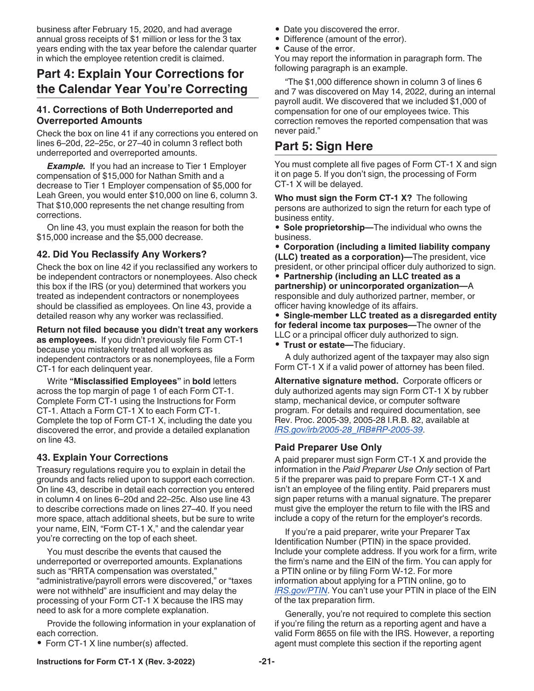<span id="page-20-0"></span>business after February 15, 2020, and had average annual gross receipts of \$1 million or less for the 3 tax years ending with the tax year before the calendar quarter in which the employee retention credit is claimed.

# **Part 4: Explain Your Corrections for the Calendar Year You're Correcting**

#### **41. Corrections of Both Underreported and Overreported Amounts**

Check the box on line 41 if any corrections you entered on lines 6–20d, 22–25c, or 27–40 in column 3 reflect both underreported and overreported amounts.

**Example.** If you had an increase to Tier 1 Employer compensation of \$15,000 for Nathan Smith and a decrease to Tier 1 Employer compensation of \$5,000 for Leah Green, you would enter \$10,000 on line 6, column 3. That \$10,000 represents the net change resulting from corrections.

On line 43, you must explain the reason for both the \$15,000 increase and the \$5,000 decrease.

### **42. Did You Reclassify Any Workers?**

Check the box on line 42 if you reclassified any workers to be independent contractors or nonemployees. Also check this box if the IRS (or you) determined that workers you treated as independent contractors or nonemployees should be classified as employees. On line 43, provide a detailed reason why any worker was reclassified.

**Return not filed because you didn't treat any workers as employees.** If you didn't previously file Form CT-1 because you mistakenly treated all workers as independent contractors or as nonemployees, file a Form CT-1 for each delinquent year.

Write **"Misclassified Employees"** in **bold** letters across the top margin of page 1 of each Form CT-1. Complete Form CT-1 using the Instructions for Form CT-1. Attach a Form CT-1 X to each Form CT-1. Complete the top of Form CT-1 X, including the date you discovered the error, and provide a detailed explanation on line 43.

# **43. Explain Your Corrections**

Treasury regulations require you to explain in detail the grounds and facts relied upon to support each correction. On line 43, describe in detail each correction you entered in column 4 on lines 6–20d and 22–25c. Also use line 43 to describe corrections made on lines 27–40. If you need more space, attach additional sheets, but be sure to write your name, EIN, "Form CT-1 X," and the calendar year you're correcting on the top of each sheet.

You must describe the events that caused the underreported or overreported amounts. Explanations such as "RRTA compensation was overstated," "administrative/payroll errors were discovered," or "taxes were not withheld" are insufficient and may delay the processing of your Form CT-1 X because the IRS may need to ask for a more complete explanation.

Provide the following information in your explanation of each correction.

• Form CT-1 X line number(s) affected.

- Date you discovered the error.
- Difference (amount of the error).
- Cause of the error.

You may report the information in paragraph form. The following paragraph is an example.

"The \$1,000 difference shown in column 3 of lines 6 and 7 was discovered on May 14, 2022, during an internal payroll audit. We discovered that we included \$1,000 of compensation for one of our employees twice. This correction removes the reported compensation that was never paid."

# **Part 5: Sign Here**

You must complete all five pages of Form CT-1 X and sign it on page 5. If you don't sign, the processing of Form CT-1 X will be delayed.

**Who must sign the Form CT-1 X?** The following persons are authorized to sign the return for each type of business entity.

• **Sole proprietorship—**The individual who owns the business.

• **Corporation (including a limited liability company (LLC) treated as a corporation)—**The president, vice president, or other principal officer duly authorized to sign.

• **Partnership (including an LLC treated as a partnership) or unincorporated organization—**A responsible and duly authorized partner, member, or officer having knowledge of its affairs.

• **Single-member LLC treated as a disregarded entity for federal income tax purposes—**The owner of the LLC or a principal officer duly authorized to sign.

• **Trust or estate—**The fiduciary.

A duly authorized agent of the taxpayer may also sign Form CT-1 X if a valid power of attorney has been filed.

**Alternative signature method.** Corporate officers or duly authorized agents may sign Form CT-1 X by rubber stamp, mechanical device, or computer software program. For details and required documentation, see Rev. Proc. 2005-39, 2005-28 I.R.B. 82, available at *[IRS.gov/irb/2005-28\\_IRB#RP-2005-39](https://www.irs.gov/irb/2005-28_IRB#RP-2005-39)*.

# **Paid Preparer Use Only**

A paid preparer must sign Form CT-1 X and provide the information in the *Paid Preparer Use Only* section of Part 5 if the preparer was paid to prepare Form CT-1 X and isn't an employee of the filing entity. Paid preparers must sign paper returns with a manual signature. The preparer must give the employer the return to file with the IRS and include a copy of the return for the employer's records.

If you're a paid preparer, write your Preparer Tax Identification Number (PTIN) in the space provided. Include your complete address. If you work for a firm, write the firm's name and the EIN of the firm. You can apply for a PTIN online or by filing Form W-12. For more information about applying for a PTIN online, go to *[IRS.gov/PTIN](https://www.irs.gov/ptin)*. You can't use your PTIN in place of the EIN of the tax preparation firm.

Generally, you're not required to complete this section if you're filing the return as a reporting agent and have a valid Form 8655 on file with the IRS. However, a reporting agent must complete this section if the reporting agent

**Instructions for Form CT-1 X (Rev. 3-2022) -21-**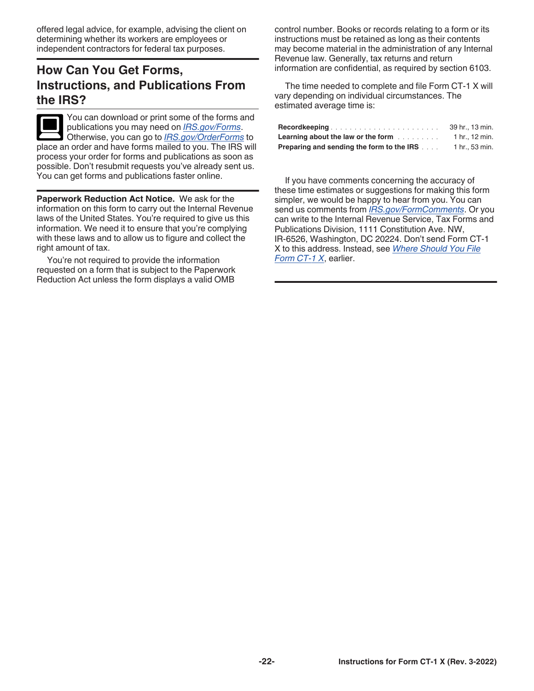<span id="page-21-0"></span>offered legal advice, for example, advising the client on determining whether its workers are employees or independent contractors for federal tax purposes.

# **How Can You Get Forms, Instructions, and Publications From the IRS?**

You can download or print some of the forms and publications you may need on *[IRS.gov/Forms](https://www.irs.gov/forms)*. Otherwise, you can go to *[IRS.gov/OrderForms](https://www.irs.gov/orderforms)* to place an order and have forms mailed to you. The IRS will process your order for forms and publications as soon as possible. Don't resubmit requests you've already sent us. You can get forms and publications faster online.

**Paperwork Reduction Act Notice.** We ask for the information on this form to carry out the Internal Revenue laws of the United States. You're required to give us this information. We need it to ensure that you're complying with these laws and to allow us to figure and collect the right amount of tax.

You're not required to provide the information requested on a form that is subject to the Paperwork Reduction Act unless the form displays a valid OMB

control number. Books or records relating to a form or its instructions must be retained as long as their contents may become material in the administration of any Internal Revenue law. Generally, tax returns and return information are confidential, as required by section 6103.

The time needed to complete and file Form CT-1 X will vary depending on individual circumstances. The estimated average time is:

|                                                  | 39 hr., 13 min. |
|--------------------------------------------------|-----------------|
| <b>Learning about the law or the form</b>        | 1 hr., 12 min.  |
| <b>Preparing and sending the form to the IRS</b> | 1 hr., 53 min.  |

If you have comments concerning the accuracy of these time estimates or suggestions for making this form simpler, we would be happy to hear from you. You can send us comments from *[IRS.gov/FormComments](https://www.irs.gov/formcomments)*. Or you can write to the Internal Revenue Service, Tax Forms and Publications Division, 1111 Constitution Ave. NW, IR-6526, Washington, DC 20224. Don't send Form CT-1 X to this address. Instead, see *[Where Should You File](#page-3-0) [Form CT-1 X](#page-3-0)*, earlier.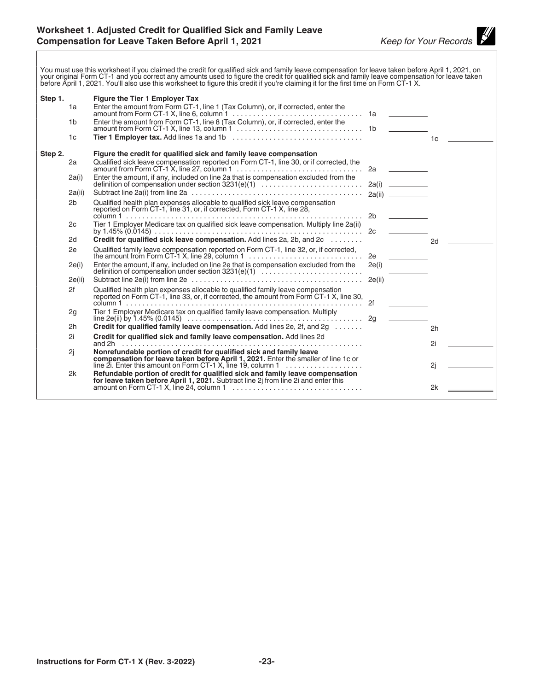<span id="page-22-0"></span>You must use this worksheet if you claimed the credit for qualified sick and family leave compensation for leave taken before April 1, 2021, on<br>your original Form CT-1 and you correct any amounts used to figure the credit

| Step 1. |                | Figure the Tier 1 Employer Tax                                                                                                                                             |       |        |    |  |
|---------|----------------|----------------------------------------------------------------------------------------------------------------------------------------------------------------------------|-------|--------|----|--|
|         | 1a             | Enter the amount from Form CT-1, line 1 (Tax Column), or, if corrected, enter the                                                                                          |       |        |    |  |
|         | 1 <sub>b</sub> |                                                                                                                                                                            |       |        |    |  |
|         | 1 <sub>c</sub> |                                                                                                                                                                            |       |        | 1c |  |
| Step 2. |                | Figure the credit for qualified sick and family leave compensation                                                                                                         |       |        |    |  |
|         | 2a             | Qualified sick leave compensation reported on Form CT-1, line 30, or if corrected, the                                                                                     |       |        |    |  |
|         | 2a(i)          | Enter the amount, if any, included on line 2a that is compensation excluded from the<br>definition of compensation under section 3231(e)(1)                                |       |        |    |  |
|         | 2a(ii)         |                                                                                                                                                                            |       | 2a(ii) |    |  |
|         | 2 <sub>b</sub> | Qualified health plan expenses allocable to qualified sick leave compensation<br>reported on Form CT-1, line 31, or, if corrected, Form CT-1 X, line 28,                   |       |        |    |  |
|         | 2c             | Tier 1 Employer Medicare tax on qualified sick leave compensation. Multiply line 2a(ii)                                                                                    |       |        |    |  |
|         | 2d             | Credit for qualified sick leave compensation. Add lines 2a, 2b, and 2c                                                                                                     |       |        | 2d |  |
|         | 2e             |                                                                                                                                                                            |       |        |    |  |
|         | 2e(i)          | Enter the amount, if any, included on line 2e that is compensation excluded from the                                                                                       | 2e(i) |        |    |  |
|         | 2e(ii)         |                                                                                                                                                                            |       |        |    |  |
|         | 2f             | Qualified health plan expenses allocable to qualified family leave compensation<br>reported on Form CT-1, line 33, or, if corrected, the amount from Form CT-1 X, line 30, |       |        |    |  |
|         | 2g             | Tier 1 Employer Medicare tax on qualified family leave compensation. Multiply                                                                                              |       |        |    |  |
|         |                |                                                                                                                                                                            |       |        |    |  |
|         | 2h             | Credit for qualified family leave compensation. Add lines 2e, 2f, and 2g                                                                                                   |       |        | 2h |  |
|         | 2i             | Credit for qualified sick and family leave compensation. Add lines 2d                                                                                                      |       |        |    |  |
|         |                | and 2h …………………………………………………………………………<br>Nonrefundable portion of credit for qualified sick and family leave                                                                 |       |        | 2i |  |
|         | 2i             | compensation for leave taken before April 1, 2021. Enter the smaller of line 1c or<br>line 2i. Enter this amount on Form CT-1 X, line 19, column 1                         |       |        | 2j |  |
|         | 2k             | Refundable portion of credit for qualified sick and family leave compensation                                                                                              |       |        |    |  |
|         |                | for leave taken before April 1, 2021. Subtract line 2j from line 2i and enter this<br>amount on Form CT-1 X, line 24, column 1                                             |       |        | 2k |  |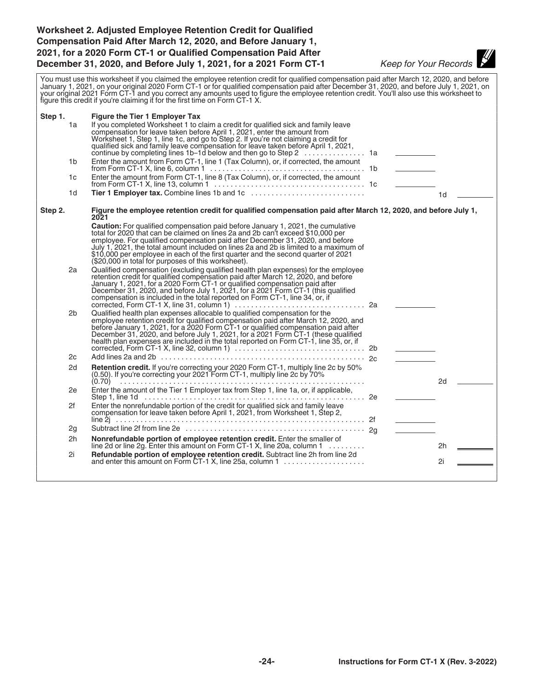#### <span id="page-23-0"></span>**Worksheet 2. Adjusted Employee Retention Credit for Qualified Compensation Paid After March 12, 2020, and Before January 1, 2021, for a 2020 Form CT-1 or Qualified Compensation Paid After December 31, 2020, and Before July 1, 2021, for a 2021 Form CT-1** *Keep for Your Records*

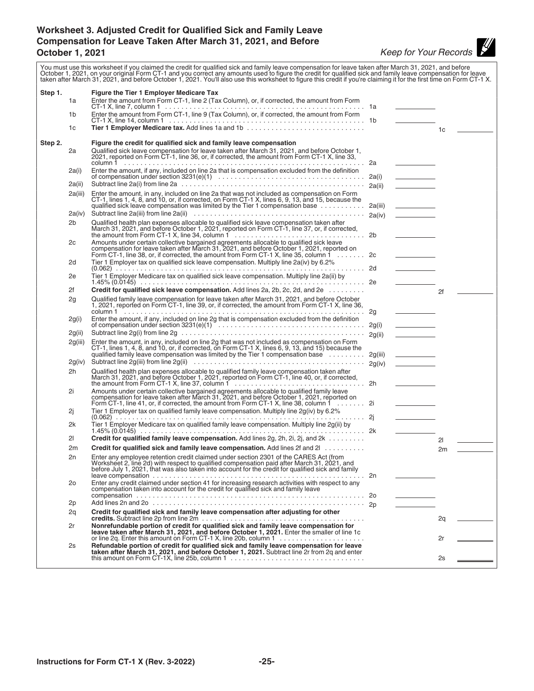#### <span id="page-24-0"></span>**Worksheet 3. Adjusted Credit for Qualified Sick and Family Leave Compensation for Leave Taken After March 31, 2021, and Before October 1, 2021** *Keep for Your Records*

You must use this worksheet if you claimed the credit for qualified sick and family leave compensation for leave taken after March 31, 2021, and before October 1, 2021, on your original Form CT-1 and you correct any amounts used to figure the credit for qualified sick and family leave compensation for leave<br>taken after March 31, 2021, and before October 1, 2021. You'll al **Step 1. Figure the Tier 1 Employer Medicare Tax** 1a Enter the amount from Form CT-1, line 2 (Tax Column), or, if corrected, the amount from Form CT-1 X, line 7, column 1 ................................................. 1a 1b Enter the amount from Form CT-1, line 9 (Tax Column), or, if corrected, the amount from Form CT-1 X, line 14, column 1 ................................................ 1b 1c **Tier 1 Employer Medicare tax.** Add lines 1a and 1b ............................. 1c **Step 2. Figure the credit for qualified sick and family leave compensation** 2a Qualified sick leave compensation for leave taken after March 31, 2021, and before October 1, 2021, reported on Form CT-1, line 36, or, if corrected, the amount from Form CT-1 X, line 33, column 1 ........................................................... 2a 2a(i) Enter the amount, if any, included on line 2a that is compensation excluded from the definition of compensation under section 3231(e)(1) .................................... 2a(i) 2a(ii) Subtract line 2a(i) from line 2a ............................................. 2a(ii) 2a(iii) Enter the amount, in any, included on line 2a that was not included as compensation on Form CT-1, lines 1, 4, 8, and 10, or, if corrected, on Form CT-1 X, lines 6, 9, 13, and 15, because the qualified sick leave compensation was limited by the Tier 1 compensation base ............ 2a(iii) 2a(iv) Subtract line 2a(iii) from line 2a(ii) .......................................... 2a(iv) 2b Qualified health plan expenses allocable to qualified sick leave compensation taken after March 31, 2021, and before October 1, 2021, reported on Form CT-1, line 37, or, if corrected, the amount from Form CT-1 X, line 34, column 1 ................................ 2b 2c Amounts under certain collective bargained agreements allocable to qualified sick leave<br>compensation for leave taken after March 31, 2021, and before October 1, 2021, reported on<br>Form CT-1, line 38, or, if corrected, th 2d Tier 1 Employer tax on qualified sick leave compensation. Multiply line 2a(iv) by 6.2% (0.062) ............................................................. 2d 2e Tier 1 Employer Medicare tax on qualified sick leave compensation. Multiply line 2a(ii) by 1.45% (0.0145) ....................................................... 2e 2f **Credit for qualified sick leave compensation.** Add lines 2a, 2b, 2c, 2d, and 2e ......... 2f 2g Qualified family leave compensation for leave taken after March 31, 2021, and before October 1, 2021, reported on Form CT-1, line 39, or, if corrected, the amount from Form CT-1 X, line 36, column 1 ........................................................... 2g 2g(i) Enter the amount, if any, included on line 2g that is compensation excluded from the definition of compensation under section 3231(e)(1) .................................... 2g(i) 2g(ii)  $S$ ubtract line 2g(i) from line 2g  $\dots\dots\dots\dots\dots\dots\dots\dots\dots\dots\dots\dots\dots\dots\dots\dots\dots\dots$ 2g(iii) Enter the amount, in any, included on line 2g that was not included as compensation on Form<br>CT-1, lines 1, 4, 8, and 10, or, if corrected, on Form CT-1 X, lines 6, 9, 13, and 15) because the<br>qualified family leave 2g(iv) Subtract line 2g(iii) from line 2g(ii) .......................................... 2g(iv) 2h Qualified health plan expenses allocable to qualified family leave compensation taken after March 31, 2021, and before October 1, 2021, reported on Form CT-1, line 40, or, if corrected, the amount from Form CT-1 X, line 37, column 1 ................................ 2h 2i Amounts under certain collective bargained agreements allocable to qualified family leave compensation for leave taken after March 31, 2021, and before October 1, 2021, reported on<br>Form CT-1, line 41, or, if corrected, the amount from Form CT-1 X, line 38, column 1  $\dots\dots$  2i 2j Tier 1 Employer tax on qualified family leave compensation. Multiply line 2g(iv) by 6.2% (0.062) ............................................................. 2j 2k Tier 1 Employer Medicare tax on qualified family leave compensation. Multiply line 2g(ii) by<br>1.45% (0.0145) 1.45% (0.0145) ....................................................... 2k 2l **Credit for qualified family leave compensation.** Add lines 2g, 2h, 2i, 2j, and 2k ......... 2l 2m **Credit for qualified sick and family leave compensation.** Add lines 2f and 2l ........... 2n Enter any employee retention credit claimed under section 2301 of the CARES Act (from Worksheet 2, line 2d) with respect to qualified compensation paid after March 31, 2021, and before July 1, 2021, that was also taken into account for the credit for qualified sick and family<br>leave compensation  $\ldots \ldots \ldots \ldots \ldots \ldots \ldots \ldots \ldots \ldots \ldots$ leave compensation .................................................... 2n 2o Enter any credit claimed under section 41 for increasing research activities with respect to any compensation taken into account for the credit for qualified sick and family leave compensation ........................................................ 2o 2p Add lines 2n and 2o .................................................... 2p 2q **Credit for qualified sick and family leave compensation after adjusting for other credits.** Subtract line 2p from line 2m ........................................ 2q 2r **Nonrefundable portion of credit for qualified sick and family leave compensation for leave taken after March 31, 2021, and before October 1, 2021.** Enter the smaller of line 1c<br>or line 2q. Enter this amount on Form CT-1 X, line 20b, column 1  $\dots\dots\dots\dots\dots\dots$ 2s **Refundable portion of credit for qualified sick and family leave compensation for leave<br><b>taken after March 31, 2021, and before October 1, 2021.** Subtract line 2r from 2q and enter<br>this amount on Form CT-1X, line 25b,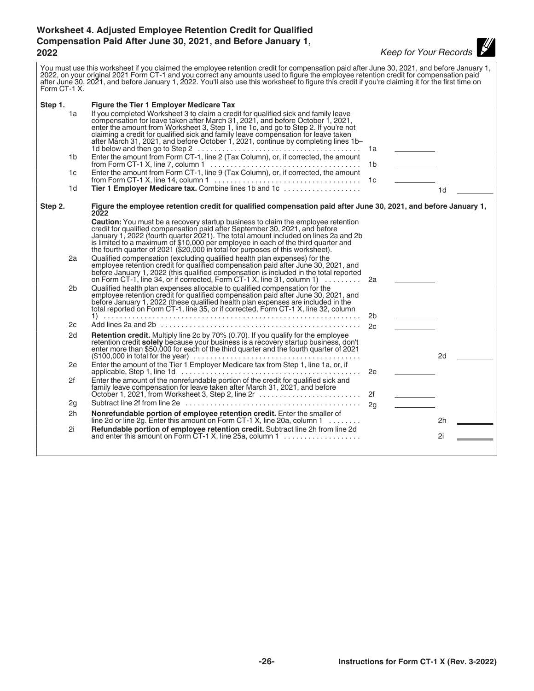# <span id="page-25-0"></span>**Worksheet 4. Adjusted Employee Retention Credit for Qualified Compensation Paid After June 30, 2021, and Before January 1, 2022** *Keep for Your Records*

| Form CT-1 X. | You must use this worksheet if you claimed the employee retention credit for compensation paid after June 30, 2021, and before January 1,<br>2022, on your original 2021 Form CT-1 and you correct any amounts used to figure the employee retention credit for compensation paid<br>after June 30, 2021, and before January 1, 2022. You'll also use this worksheet to figure this credit if you're claiming it for the first time on  |                |                |  |
|--------------|-----------------------------------------------------------------------------------------------------------------------------------------------------------------------------------------------------------------------------------------------------------------------------------------------------------------------------------------------------------------------------------------------------------------------------------------|----------------|----------------|--|
| Step 1.      | <b>Figure the Tier 1 Employer Medicare Tax</b>                                                                                                                                                                                                                                                                                                                                                                                          |                |                |  |
| 1a           | If you completed Worksheet 3 to claim a credit for qualified sick and family leave<br>compensation for leave taken after March 31, 2021, and before October 1, 2021,<br>enter the amount from Worksheet 3, Step 1, line 1c, and go to Step 2. If you're not<br>claiming a credit for qualified sick and family leave compensation for leave taken<br>after March 31, 2021, and before October 1, 2021, continue by completing lines 1b- | 1a             |                |  |
| 1b           | Enter the amount from Form CT-1, line 2 (Tax Column), or, if corrected, the amount                                                                                                                                                                                                                                                                                                                                                      | 1b.            |                |  |
| 1c           | Enter the amount from Form CT-1, line 9 (Tax Column), or, if corrected, the amount                                                                                                                                                                                                                                                                                                                                                      | 1с             |                |  |
| 1d           | Tier 1 Employer Medicare tax. Combine lines 1b and 1c                                                                                                                                                                                                                                                                                                                                                                                   |                | 1 <sub>d</sub> |  |
| Step 2.      | Figure the employee retention credit for qualified compensation paid after June 30, 2021, and before January 1,<br>2022                                                                                                                                                                                                                                                                                                                 |                |                |  |
|              | <b>Caution:</b> You must be a recovery startup business to claim the employee retention<br>credit for qualified compensation paid after September 30, 2021, and before<br>January 1, 2022 (fourth quarter 2021). The total amount included on lines 2a and 2b<br>is limited to a maximum of \$10,000 per employee in each of the third quarter and<br>the fourth quarter of 2021 (\$20,000 in total for purposes of this worksheet).    |                |                |  |
| 2a           | Qualified compensation (excluding qualified health plan expenses) for the<br>employee retention credit for qualified compensation paid after June 30, 2021, and<br>before January 1, 2022 (this qualified compensation is included in the total reported<br>on Form CT-1, line 34, or if corrected, Form CT-1 X, line 31, column 1) $\ldots \ldots$                                                                                     | 2a             |                |  |
| 2b           | Qualified health plan expenses allocable to qualified compensation for the<br>employee retention credit for qualified compensation paid after June 30, 2021, and<br>before January 1, 2022 (these qualified health plan expenses are included in the<br>total reported on Form CT-1, line 35, or if corrected, Form CT-1 X, line 32, column                                                                                             | 2b             |                |  |
| 2c           |                                                                                                                                                                                                                                                                                                                                                                                                                                         | 2c             |                |  |
| 2d           | Retention credit. Multiply line 2c by 70% (0.70). If you qualify for the employee<br>retention credit <b>solely</b> because your business is a recovery startup business, don't<br>enter more than \$50,000 for each of the third quarter and the fourth quarter of 2021<br>$($100,000$ in total for the year) $\ldots \ldots \ldots \ldots \ldots \ldots \ldots \ldots \ldots \ldots \ldots \ldots$                                    |                | 2d             |  |
| 2e           | Enter the amount of the Tier 1 Employer Medicare tax from Step 1, line 1a, or, if                                                                                                                                                                                                                                                                                                                                                       | 2e             |                |  |
| 2f           | Enter the amount of the nonrefundable portion of the credit for qualified sick and<br>family leave compensation for leave taken after March 31, 2021, and before<br>October 1, 2021, from Worksheet 3, Step 2, line 2r                                                                                                                                                                                                                  | 2f             |                |  |
| 2g           |                                                                                                                                                                                                                                                                                                                                                                                                                                         | 2 <sub>q</sub> |                |  |
| 2h           | Nonrefundable portion of employee retention credit. Enter the smaller of<br>line 2d or line 2g. Enter this amount on Form CT-1 X, line 20a, column 1 $\ldots \ldots$                                                                                                                                                                                                                                                                    |                | 2h             |  |
| 2i           | Refundable portion of employee retention credit. Subtract line 2h from line 2d<br>and enter this amount on Form CT-1 X, line 25a, column 1                                                                                                                                                                                                                                                                                              |                | 2i             |  |
|              |                                                                                                                                                                                                                                                                                                                                                                                                                                         |                |                |  |